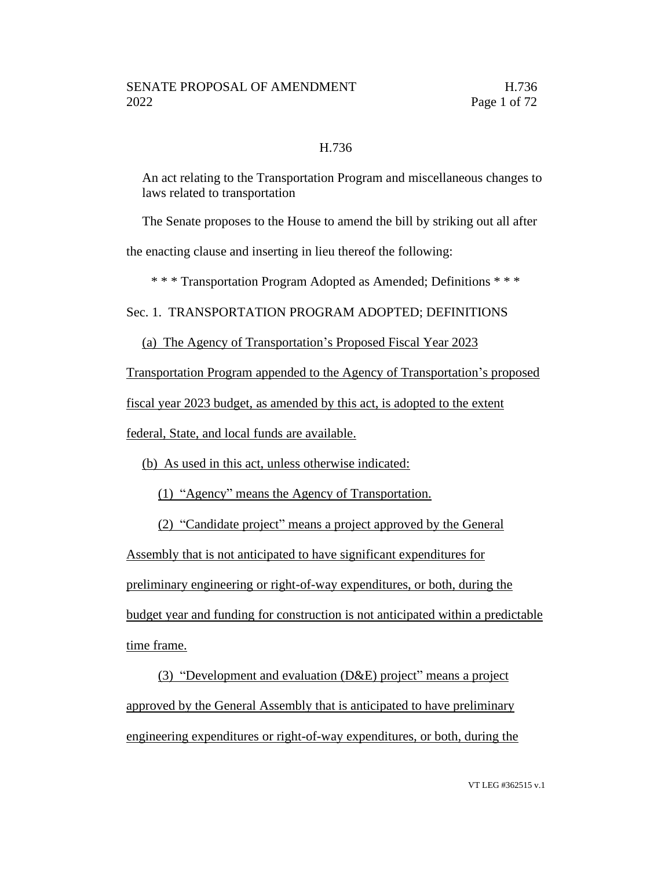### H.736

An act relating to the Transportation Program and miscellaneous changes to laws related to transportation

The Senate proposes to the House to amend the bill by striking out all after

the enacting clause and inserting in lieu thereof the following:

\* \* \* Transportation Program Adopted as Amended; Definitions \* \* \*

Sec. 1. TRANSPORTATION PROGRAM ADOPTED; DEFINITIONS

(a) The Agency of Transportation's Proposed Fiscal Year 2023

Transportation Program appended to the Agency of Transportation's proposed

fiscal year 2023 budget, as amended by this act, is adopted to the extent

federal, State, and local funds are available.

(b) As used in this act, unless otherwise indicated:

(1) "Agency" means the Agency of Transportation.

(2) "Candidate project" means a project approved by the General

Assembly that is not anticipated to have significant expenditures for preliminary engineering or right-of-way expenditures, or both, during the budget year and funding for construction is not anticipated within a predictable time frame.

(3) "Development and evaluation (D&E) project" means a project approved by the General Assembly that is anticipated to have preliminary engineering expenditures or right-of-way expenditures, or both, during the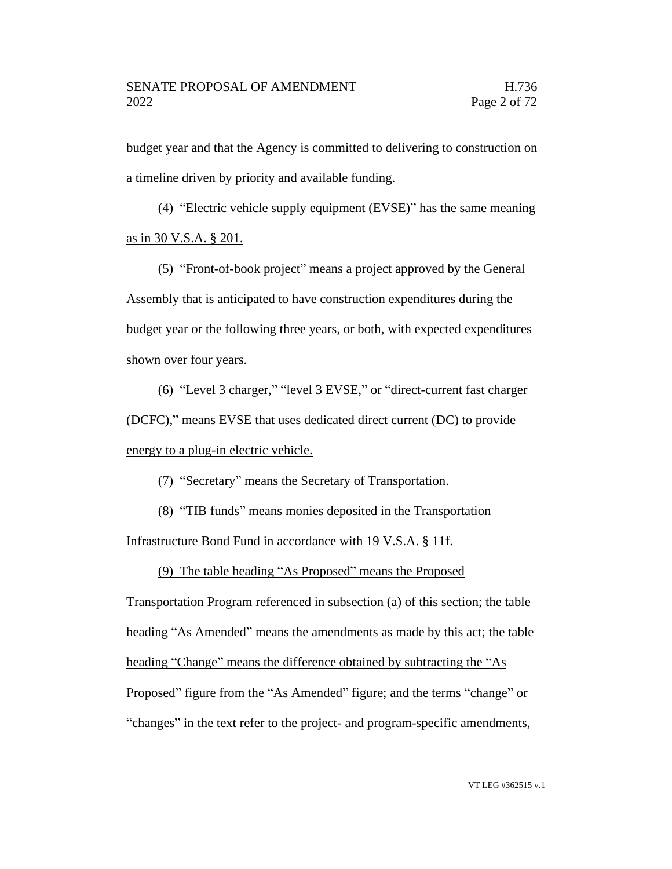budget year and that the Agency is committed to delivering to construction on a timeline driven by priority and available funding.

(4) "Electric vehicle supply equipment (EVSE)" has the same meaning as in 30 V.S.A. § 201.

(5) "Front-of-book project" means a project approved by the General Assembly that is anticipated to have construction expenditures during the budget year or the following three years, or both, with expected expenditures shown over four years.

(6) "Level 3 charger," "level 3 EVSE," or "direct-current fast charger (DCFC)," means EVSE that uses dedicated direct current (DC) to provide energy to a plug-in electric vehicle.

(7) "Secretary" means the Secretary of Transportation.

(8) "TIB funds" means monies deposited in the Transportation

Infrastructure Bond Fund in accordance with 19 V.S.A. § 11f.

(9) The table heading "As Proposed" means the Proposed

Transportation Program referenced in subsection (a) of this section; the table heading "As Amended" means the amendments as made by this act; the table heading "Change" means the difference obtained by subtracting the "As Proposed" figure from the "As Amended" figure; and the terms "change" or "changes" in the text refer to the project- and program-specific amendments,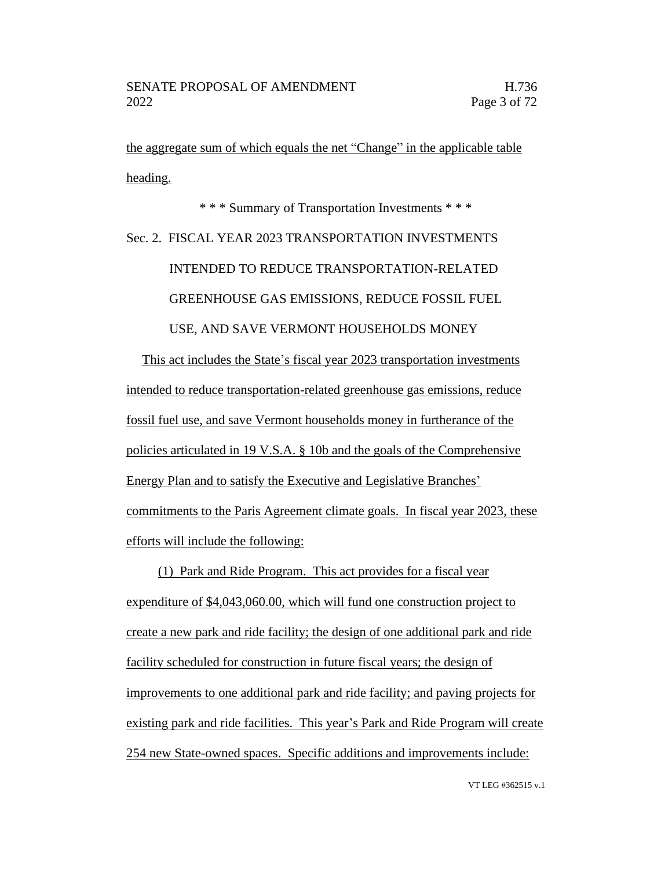the aggregate sum of which equals the net "Change" in the applicable table heading.

\* \* \* Summary of Transportation Investments \* \* \* Sec. 2. FISCAL YEAR 2023 TRANSPORTATION INVESTMENTS INTENDED TO REDUCE TRANSPORTATION-RELATED GREENHOUSE GAS EMISSIONS, REDUCE FOSSIL FUEL USE, AND SAVE VERMONT HOUSEHOLDS MONEY

This act includes the State's fiscal year 2023 transportation investments intended to reduce transportation-related greenhouse gas emissions, reduce fossil fuel use, and save Vermont households money in furtherance of the policies articulated in 19 V.S.A. § 10b and the goals of the Comprehensive Energy Plan and to satisfy the Executive and Legislative Branches' commitments to the Paris Agreement climate goals. In fiscal year 2023, these efforts will include the following:

(1) Park and Ride Program. This act provides for a fiscal year expenditure of \$4,043,060.00, which will fund one construction project to create a new park and ride facility; the design of one additional park and ride facility scheduled for construction in future fiscal years; the design of improvements to one additional park and ride facility; and paving projects for existing park and ride facilities. This year's Park and Ride Program will create 254 new State-owned spaces. Specific additions and improvements include: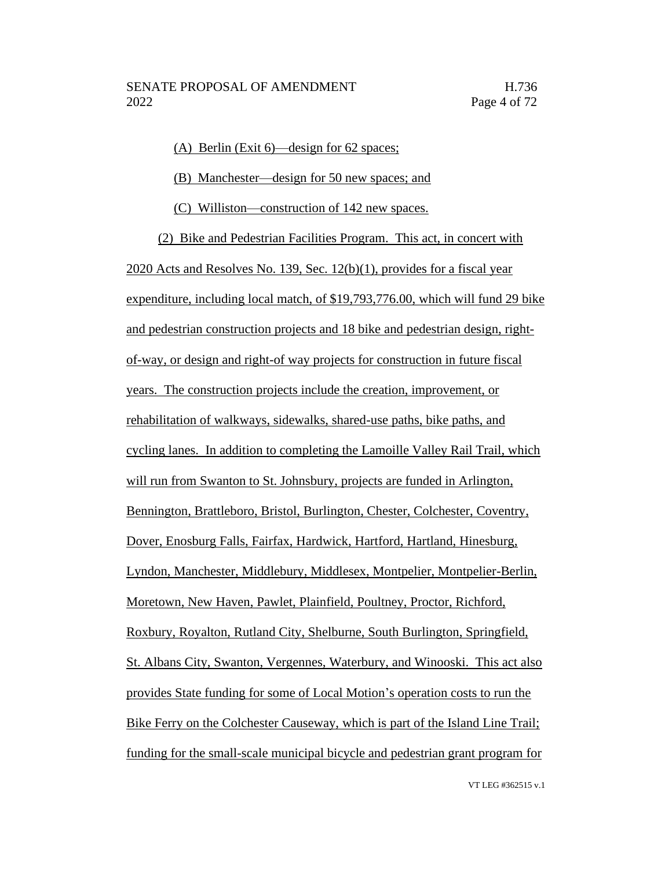(A) Berlin (Exit 6)—design for 62 spaces;

(B) Manchester—design for 50 new spaces; and

(C) Williston—construction of 142 new spaces.

(2) Bike and Pedestrian Facilities Program. This act, in concert with 2020 Acts and Resolves No. 139, Sec. 12(b)(1), provides for a fiscal year expenditure, including local match, of \$19,793,776.00, which will fund 29 bike and pedestrian construction projects and 18 bike and pedestrian design, rightof-way, or design and right-of way projects for construction in future fiscal years. The construction projects include the creation, improvement, or rehabilitation of walkways, sidewalks, shared-use paths, bike paths, and cycling lanes. In addition to completing the Lamoille Valley Rail Trail, which will run from Swanton to St. Johnsbury, projects are funded in Arlington, Bennington, Brattleboro, Bristol, Burlington, Chester, Colchester, Coventry, Dover, Enosburg Falls, Fairfax, Hardwick, Hartford, Hartland, Hinesburg, Lyndon, Manchester, Middlebury, Middlesex, Montpelier, Montpelier-Berlin, Moretown, New Haven, Pawlet, Plainfield, Poultney, Proctor, Richford, Roxbury, Royalton, Rutland City, Shelburne, South Burlington, Springfield, St. Albans City, Swanton, Vergennes, Waterbury, and Winooski. This act also provides State funding for some of Local Motion's operation costs to run the Bike Ferry on the Colchester Causeway, which is part of the Island Line Trail; funding for the small-scale municipal bicycle and pedestrian grant program for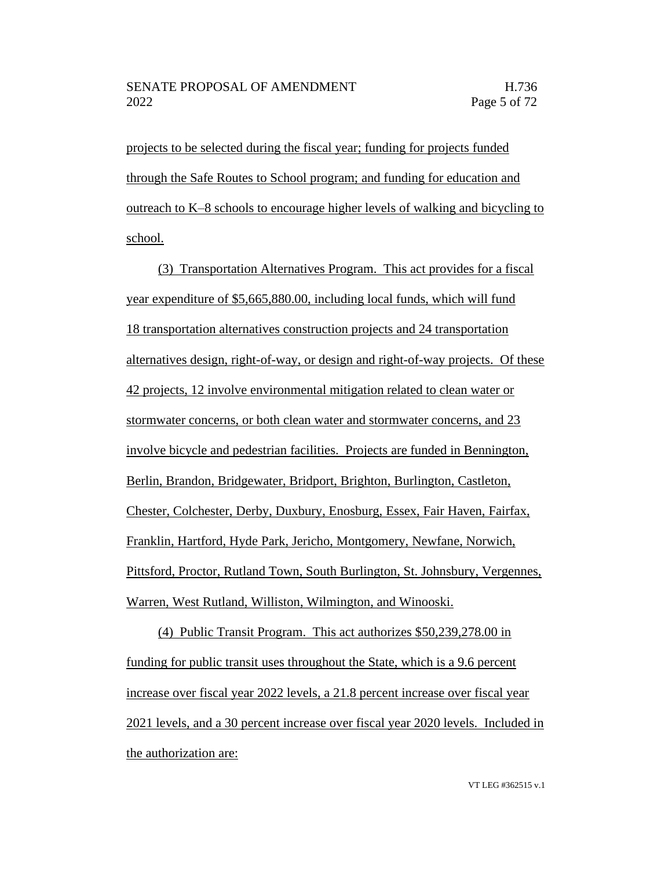projects to be selected during the fiscal year; funding for projects funded through the Safe Routes to School program; and funding for education and outreach to K–8 schools to encourage higher levels of walking and bicycling to school.

(3) Transportation Alternatives Program. This act provides for a fiscal year expenditure of \$5,665,880.00, including local funds, which will fund 18 transportation alternatives construction projects and 24 transportation alternatives design, right-of-way, or design and right-of-way projects. Of these 42 projects, 12 involve environmental mitigation related to clean water or stormwater concerns, or both clean water and stormwater concerns, and 23 involve bicycle and pedestrian facilities. Projects are funded in Bennington, Berlin, Brandon, Bridgewater, Bridport, Brighton, Burlington, Castleton, Chester, Colchester, Derby, Duxbury, Enosburg, Essex, Fair Haven, Fairfax, Franklin, Hartford, Hyde Park, Jericho, Montgomery, Newfane, Norwich, Pittsford, Proctor, Rutland Town, South Burlington, St. Johnsbury, Vergennes, Warren, West Rutland, Williston, Wilmington, and Winooski.

(4) Public Transit Program. This act authorizes \$50,239,278.00 in funding for public transit uses throughout the State, which is a 9.6 percent increase over fiscal year 2022 levels, a 21.8 percent increase over fiscal year 2021 levels, and a 30 percent increase over fiscal year 2020 levels. Included in the authorization are: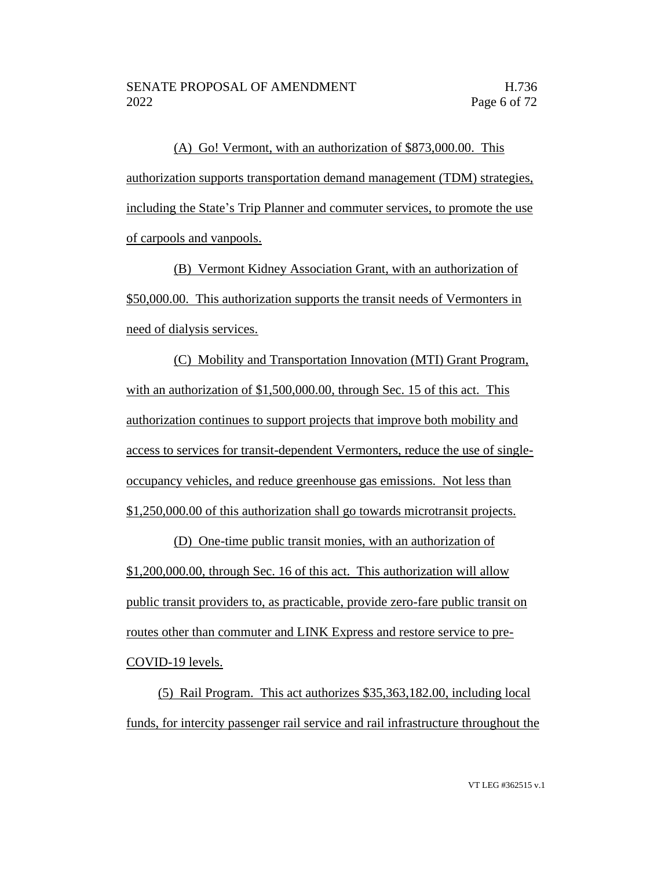(A) Go! Vermont, with an authorization of \$873,000.00. This authorization supports transportation demand management (TDM) strategies, including the State's Trip Planner and commuter services, to promote the use of carpools and vanpools.

(B) Vermont Kidney Association Grant, with an authorization of \$50,000.00. This authorization supports the transit needs of Vermonters in need of dialysis services.

(C) Mobility and Transportation Innovation (MTI) Grant Program, with an authorization of \$1,500,000.00, through Sec. 15 of this act. This authorization continues to support projects that improve both mobility and access to services for transit-dependent Vermonters, reduce the use of singleoccupancy vehicles, and reduce greenhouse gas emissions. Not less than \$1,250,000.00 of this authorization shall go towards microtransit projects.

(D) One-time public transit monies, with an authorization of \$1,200,000.00, through Sec. 16 of this act. This authorization will allow public transit providers to, as practicable, provide zero-fare public transit on routes other than commuter and LINK Express and restore service to pre-COVID-19 levels.

(5) Rail Program. This act authorizes \$35,363,182.00, including local funds, for intercity passenger rail service and rail infrastructure throughout the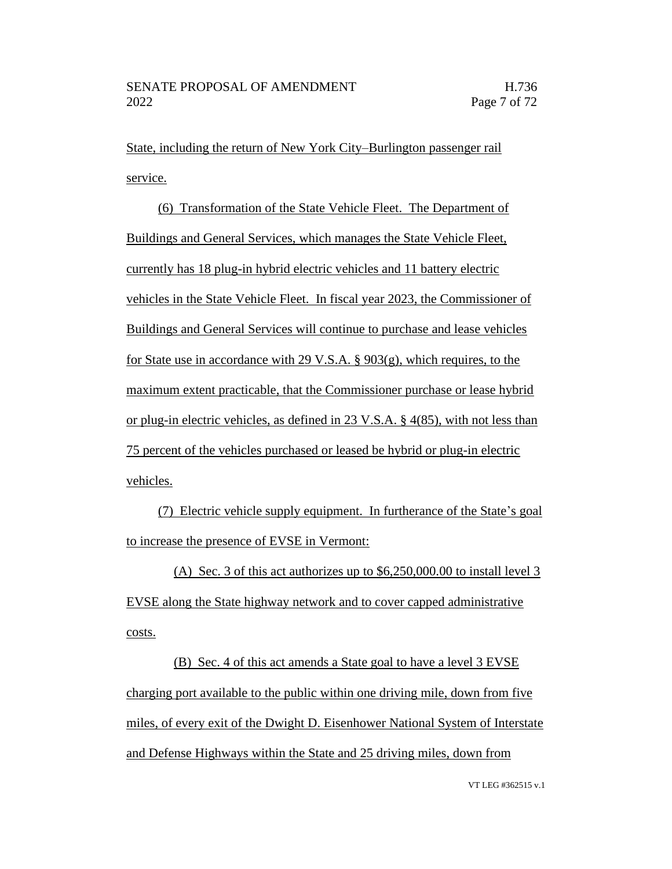State, including the return of New York City–Burlington passenger rail service.

(6) Transformation of the State Vehicle Fleet. The Department of Buildings and General Services, which manages the State Vehicle Fleet, currently has 18 plug-in hybrid electric vehicles and 11 battery electric vehicles in the State Vehicle Fleet. In fiscal year 2023, the Commissioner of Buildings and General Services will continue to purchase and lease vehicles for State use in accordance with 29 V.S.A. § 903(g), which requires, to the maximum extent practicable, that the Commissioner purchase or lease hybrid or plug-in electric vehicles, as defined in 23 V.S.A. § 4(85), with not less than 75 percent of the vehicles purchased or leased be hybrid or plug-in electric vehicles.

(7) Electric vehicle supply equipment. In furtherance of the State's goal to increase the presence of EVSE in Vermont:

(A) Sec. 3 of this act authorizes up to  $$6,250,000.00$  to install level 3 EVSE along the State highway network and to cover capped administrative costs.

(B) Sec. 4 of this act amends a State goal to have a level 3 EVSE charging port available to the public within one driving mile, down from five miles, of every exit of the Dwight D. Eisenhower National System of Interstate and Defense Highways within the State and 25 driving miles, down from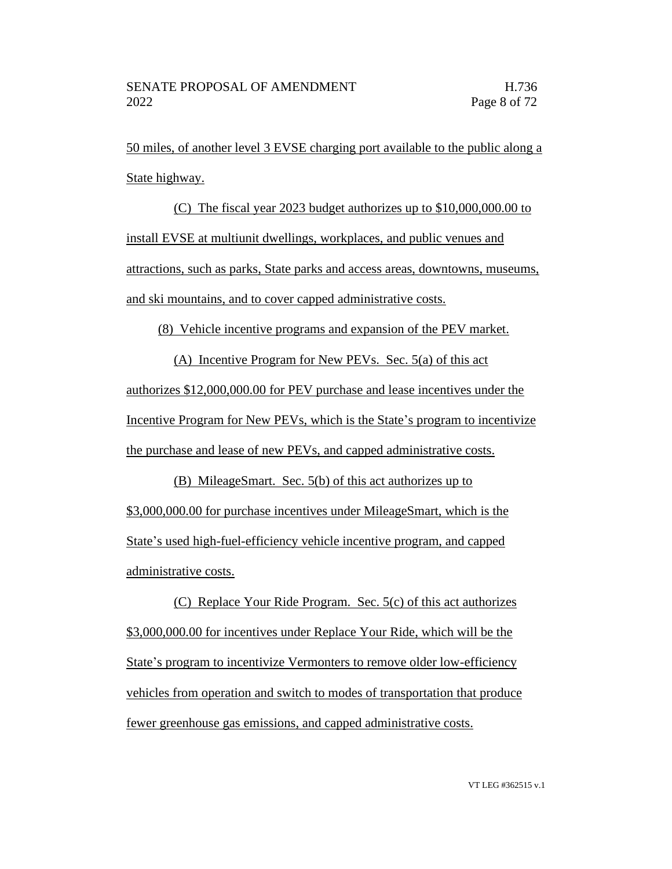50 miles, of another level 3 EVSE charging port available to the public along a State highway.

(C) The fiscal year 2023 budget authorizes up to \$10,000,000.00 to install EVSE at multiunit dwellings, workplaces, and public venues and attractions, such as parks, State parks and access areas, downtowns, museums, and ski mountains, and to cover capped administrative costs.

(8) Vehicle incentive programs and expansion of the PEV market.

(A) Incentive Program for New PEVs. Sec. 5(a) of this act authorizes \$12,000,000.00 for PEV purchase and lease incentives under the Incentive Program for New PEVs, which is the State's program to incentivize the purchase and lease of new PEVs, and capped administrative costs.

(B) MileageSmart. Sec. 5(b) of this act authorizes up to \$3,000,000.00 for purchase incentives under MileageSmart, which is the State's used high-fuel-efficiency vehicle incentive program, and capped administrative costs.

(C) Replace Your Ride Program. Sec. 5(c) of this act authorizes \$3,000,000.00 for incentives under Replace Your Ride, which will be the State's program to incentivize Vermonters to remove older low-efficiency vehicles from operation and switch to modes of transportation that produce fewer greenhouse gas emissions, and capped administrative costs.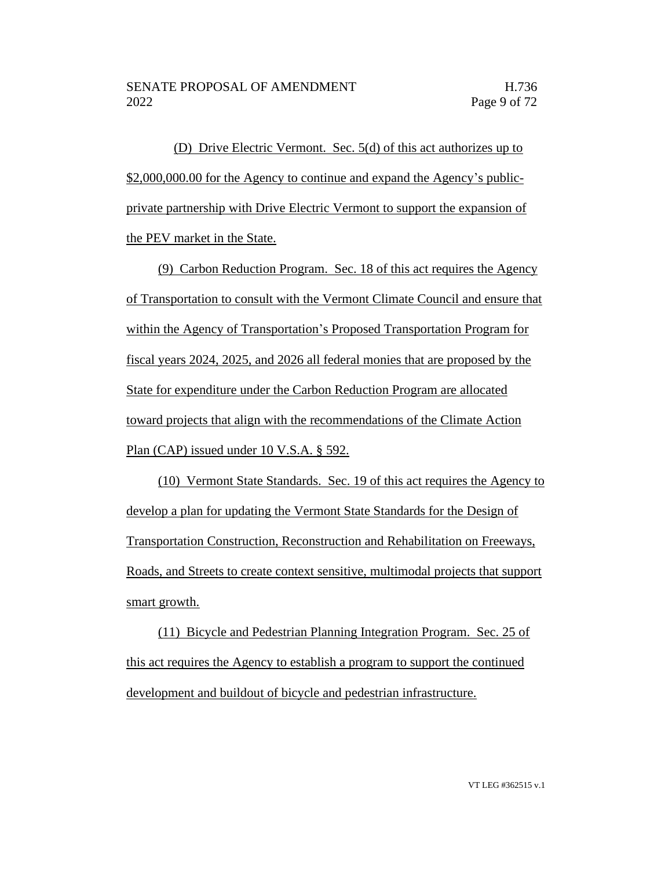(D) Drive Electric Vermont. Sec. 5(d) of this act authorizes up to \$2,000,000.00 for the Agency to continue and expand the Agency's publicprivate partnership with Drive Electric Vermont to support the expansion of the PEV market in the State.

(9) Carbon Reduction Program. Sec. 18 of this act requires the Agency of Transportation to consult with the Vermont Climate Council and ensure that within the Agency of Transportation's Proposed Transportation Program for fiscal years 2024, 2025, and 2026 all federal monies that are proposed by the State for expenditure under the Carbon Reduction Program are allocated toward projects that align with the recommendations of the Climate Action Plan (CAP) issued under 10 V.S.A. § 592.

(10) Vermont State Standards. Sec. 19 of this act requires the Agency to develop a plan for updating the Vermont State Standards for the Design of Transportation Construction, Reconstruction and Rehabilitation on Freeways, Roads, and Streets to create context sensitive, multimodal projects that support smart growth.

(11) Bicycle and Pedestrian Planning Integration Program. Sec. 25 of this act requires the Agency to establish a program to support the continued development and buildout of bicycle and pedestrian infrastructure.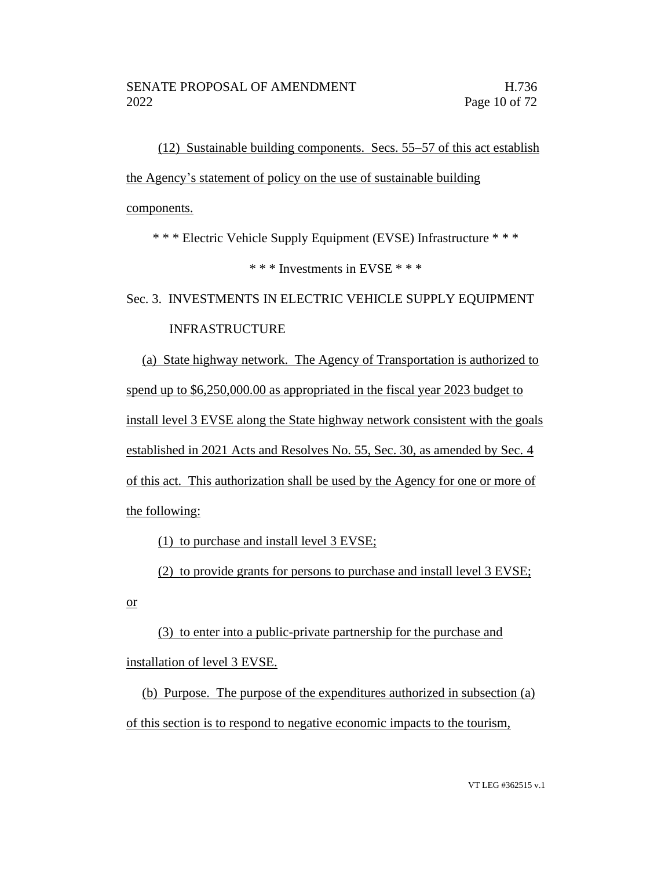(12) Sustainable building components. Secs. 55–57 of this act establish the Agency's statement of policy on the use of sustainable building components.

\* \* \* Electric Vehicle Supply Equipment (EVSE) Infrastructure \* \* \*

\* \* \* Investments in EVSE \* \* \*

Sec. 3. INVESTMENTS IN ELECTRIC VEHICLE SUPPLY EQUIPMENT

# INFRASTRUCTURE

(a) State highway network. The Agency of Transportation is authorized to spend up to \$6,250,000.00 as appropriated in the fiscal year 2023 budget to install level 3 EVSE along the State highway network consistent with the goals established in 2021 Acts and Resolves No. 55, Sec. 30, as amended by Sec. 4 of this act. This authorization shall be used by the Agency for one or more of the following:

(1) to purchase and install level 3 EVSE;

(2) to provide grants for persons to purchase and install level 3 EVSE;

or

(3) to enter into a public-private partnership for the purchase and installation of level 3 EVSE.

(b) Purpose. The purpose of the expenditures authorized in subsection (a) of this section is to respond to negative economic impacts to the tourism,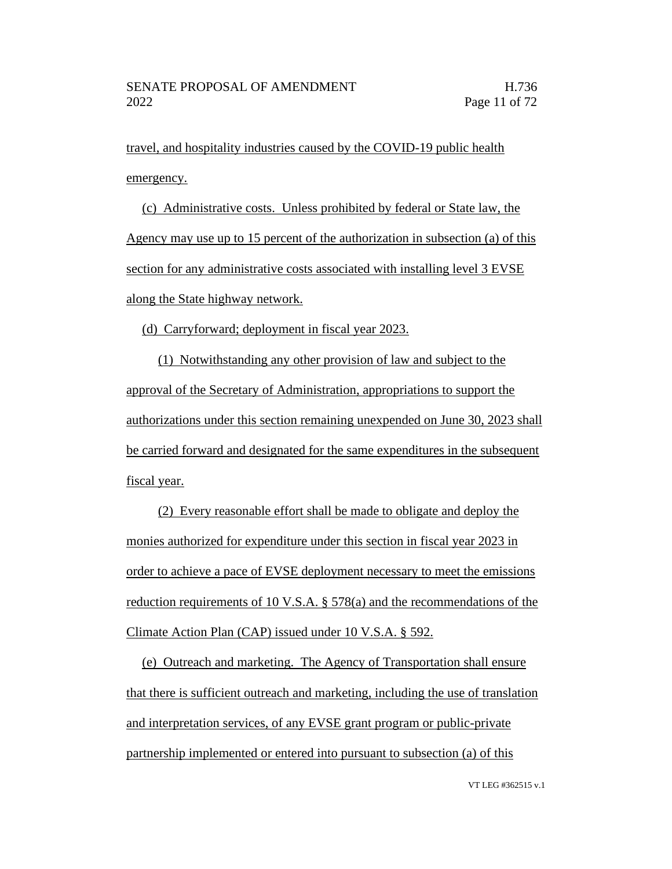travel, and hospitality industries caused by the COVID-19 public health emergency.

(c) Administrative costs. Unless prohibited by federal or State law, the Agency may use up to 15 percent of the authorization in subsection (a) of this section for any administrative costs associated with installing level 3 EVSE along the State highway network.

(d) Carryforward; deployment in fiscal year 2023.

(1) Notwithstanding any other provision of law and subject to the approval of the Secretary of Administration, appropriations to support the authorizations under this section remaining unexpended on June 30, 2023 shall be carried forward and designated for the same expenditures in the subsequent fiscal year.

(2) Every reasonable effort shall be made to obligate and deploy the monies authorized for expenditure under this section in fiscal year 2023 in order to achieve a pace of EVSE deployment necessary to meet the emissions reduction requirements of 10 V.S.A. § 578(a) and the recommendations of the Climate Action Plan (CAP) issued under 10 V.S.A. § 592.

(e) Outreach and marketing. The Agency of Transportation shall ensure that there is sufficient outreach and marketing, including the use of translation and interpretation services, of any EVSE grant program or public-private partnership implemented or entered into pursuant to subsection (a) of this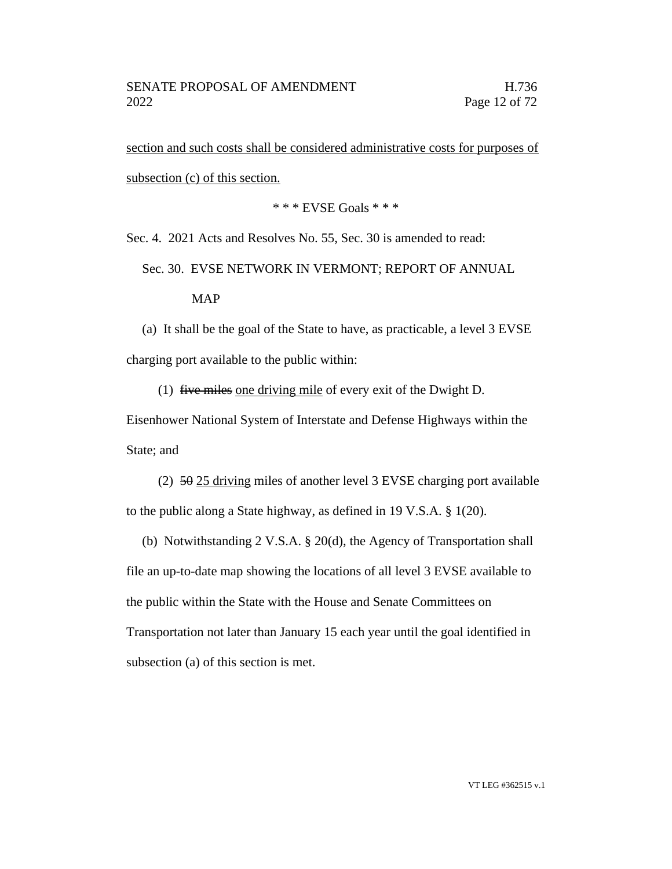section and such costs shall be considered administrative costs for purposes of subsection (c) of this section.

\* \* \* EVSE Goals \* \* \*

Sec. 4. 2021 Acts and Resolves No. 55, Sec. 30 is amended to read:

Sec. 30. EVSE NETWORK IN VERMONT; REPORT OF ANNUAL

### MAP

(a) It shall be the goal of the State to have, as practicable, a level 3 EVSE charging port available to the public within:

(1) five miles one driving mile of every exit of the Dwight D.

Eisenhower National System of Interstate and Defense Highways within the State; and

(2) 50 25 driving miles of another level 3 EVSE charging port available to the public along a State highway, as defined in 19 V.S.A. § 1(20).

(b) Notwithstanding 2 V.S.A. § 20(d), the Agency of Transportation shall file an up-to-date map showing the locations of all level 3 EVSE available to the public within the State with the House and Senate Committees on Transportation not later than January 15 each year until the goal identified in subsection (a) of this section is met.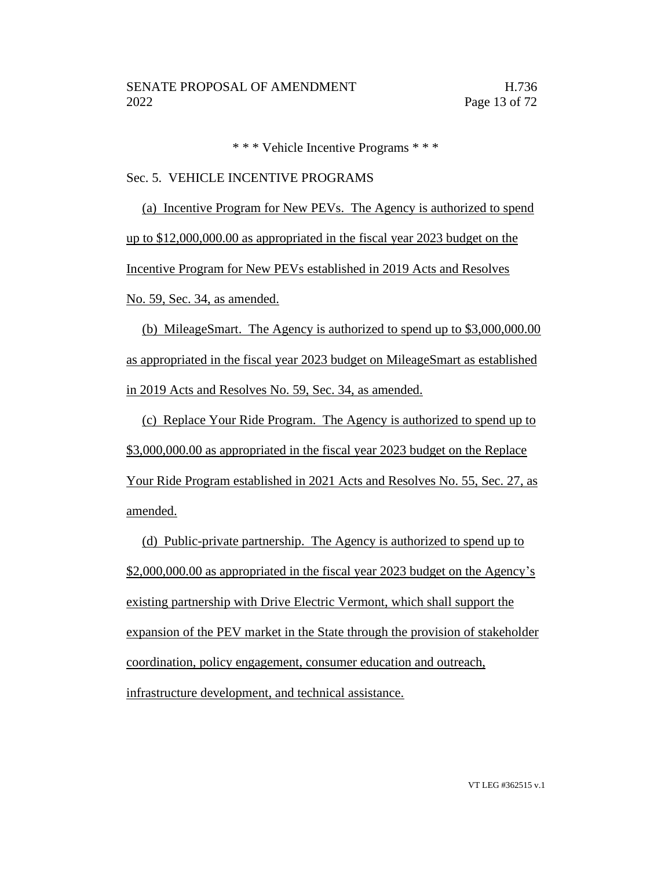\* \* \* Vehicle Incentive Programs \* \* \*

#### Sec. 5. VEHICLE INCENTIVE PROGRAMS

(a) Incentive Program for New PEVs. The Agency is authorized to spend up to \$12,000,000.00 as appropriated in the fiscal year 2023 budget on the Incentive Program for New PEVs established in 2019 Acts and Resolves No. 59, Sec. 34, as amended.

(b) MileageSmart. The Agency is authorized to spend up to \$3,000,000.00 as appropriated in the fiscal year 2023 budget on MileageSmart as established in 2019 Acts and Resolves No. 59, Sec. 34, as amended.

(c) Replace Your Ride Program. The Agency is authorized to spend up to \$3,000,000.00 as appropriated in the fiscal year 2023 budget on the Replace Your Ride Program established in 2021 Acts and Resolves No. 55, Sec. 27, as amended.

(d) Public-private partnership. The Agency is authorized to spend up to \$2,000,000.00 as appropriated in the fiscal year 2023 budget on the Agency's existing partnership with Drive Electric Vermont, which shall support the expansion of the PEV market in the State through the provision of stakeholder coordination, policy engagement, consumer education and outreach, infrastructure development, and technical assistance.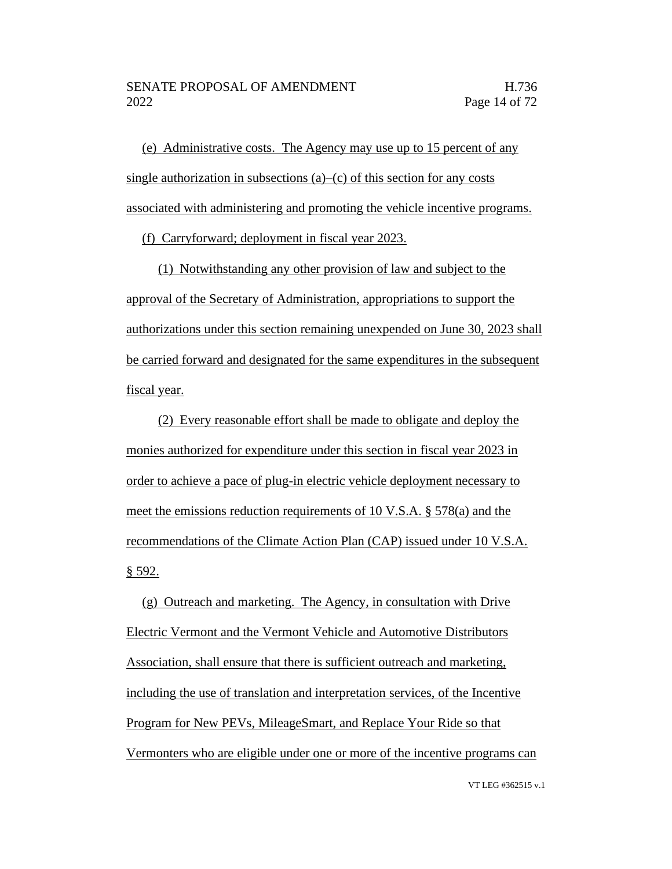(e) Administrative costs. The Agency may use up to 15 percent of any single authorization in subsections  $(a)$ – $(c)$  of this section for any costs associated with administering and promoting the vehicle incentive programs.

(f) Carryforward; deployment in fiscal year 2023.

(1) Notwithstanding any other provision of law and subject to the approval of the Secretary of Administration, appropriations to support the authorizations under this section remaining unexpended on June 30, 2023 shall be carried forward and designated for the same expenditures in the subsequent fiscal year.

(2) Every reasonable effort shall be made to obligate and deploy the monies authorized for expenditure under this section in fiscal year 2023 in order to achieve a pace of plug-in electric vehicle deployment necessary to meet the emissions reduction requirements of 10 V.S.A. § 578(a) and the recommendations of the Climate Action Plan (CAP) issued under 10 V.S.A. § 592.

(g) Outreach and marketing. The Agency, in consultation with Drive Electric Vermont and the Vermont Vehicle and Automotive Distributors Association, shall ensure that there is sufficient outreach and marketing, including the use of translation and interpretation services, of the Incentive Program for New PEVs, MileageSmart, and Replace Your Ride so that Vermonters who are eligible under one or more of the incentive programs can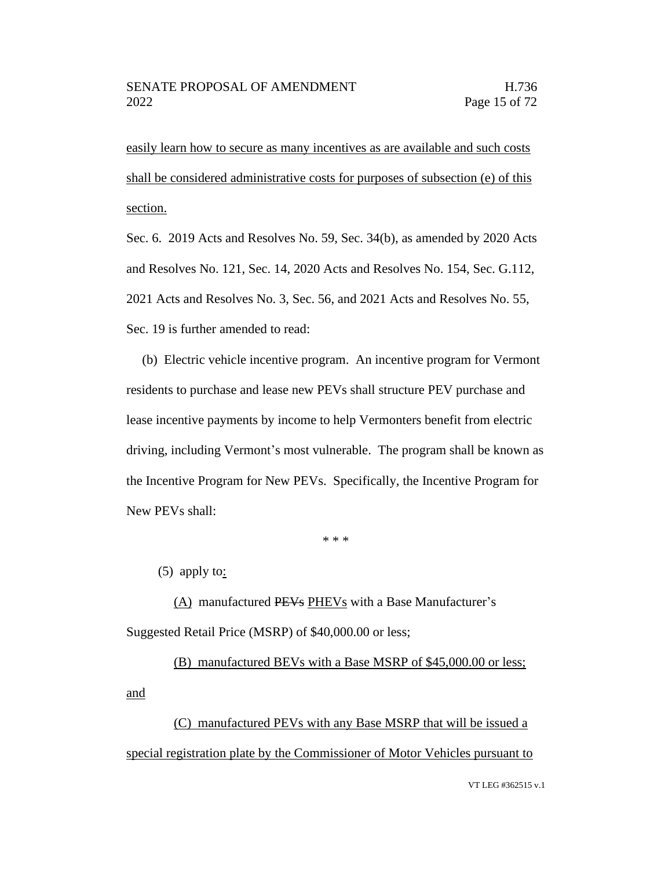easily learn how to secure as many incentives as are available and such costs shall be considered administrative costs for purposes of subsection (e) of this section.

Sec. 6. 2019 Acts and Resolves No. 59, Sec. 34(b), as amended by 2020 Acts and Resolves No. 121, Sec. 14, 2020 Acts and Resolves No. 154, Sec. G.112, 2021 Acts and Resolves No. 3, Sec. 56, and 2021 Acts and Resolves No. 55, Sec. 19 is further amended to read:

(b) Electric vehicle incentive program. An incentive program for Vermont residents to purchase and lease new PEVs shall structure PEV purchase and lease incentive payments by income to help Vermonters benefit from electric driving, including Vermont's most vulnerable. The program shall be known as the Incentive Program for New PEVs. Specifically, the Incentive Program for New PEVs shall:

\* \* \*

(5) apply to:

(A) manufactured PEVs PHEVs with a Base Manufacturer's Suggested Retail Price (MSRP) of \$40,000.00 or less;

(B) manufactured BEVs with a Base MSRP of \$45,000.00 or less; and

(C) manufactured PEVs with any Base MSRP that will be issued a special registration plate by the Commissioner of Motor Vehicles pursuant to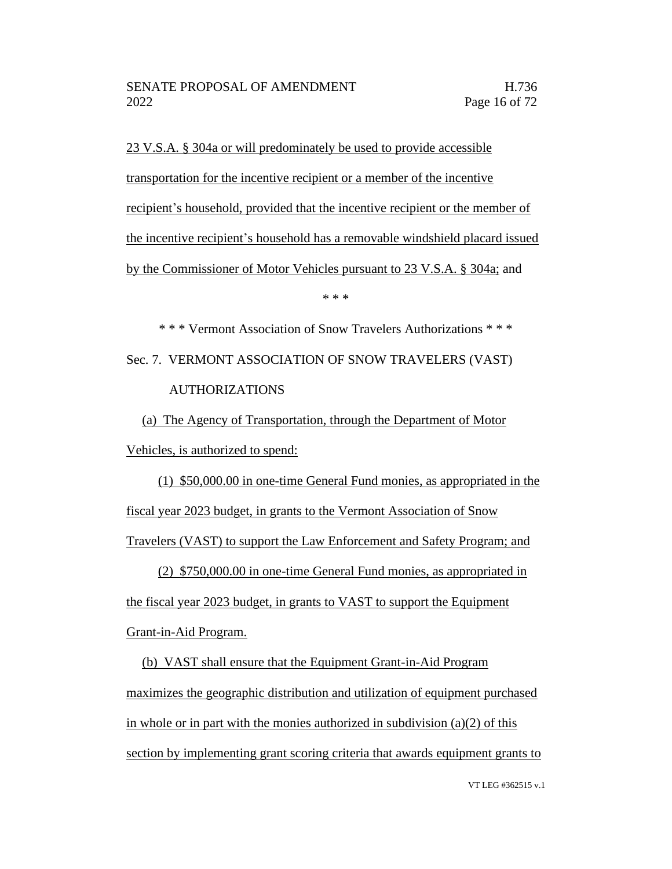23 V.S.A. § 304a or will predominately be used to provide accessible transportation for the incentive recipient or a member of the incentive recipient's household, provided that the incentive recipient or the member of the incentive recipient's household has a removable windshield placard issued by the Commissioner of Motor Vehicles pursuant to 23 V.S.A. § 304a; and

\* \* \*

\* \* \* Vermont Association of Snow Travelers Authorizations \* \* \* Sec. 7. VERMONT ASSOCIATION OF SNOW TRAVELERS (VAST) AUTHORIZATIONS

(a) The Agency of Transportation, through the Department of Motor Vehicles, is authorized to spend:

(1) \$50,000.00 in one-time General Fund monies, as appropriated in the fiscal year 2023 budget, in grants to the Vermont Association of Snow Travelers (VAST) to support the Law Enforcement and Safety Program; and

(2) \$750,000.00 in one-time General Fund monies, as appropriated in

the fiscal year 2023 budget, in grants to VAST to support the Equipment Grant-in-Aid Program.

(b) VAST shall ensure that the Equipment Grant-in-Aid Program maximizes the geographic distribution and utilization of equipment purchased in whole or in part with the monies authorized in subdivision  $(a)(2)$  of this section by implementing grant scoring criteria that awards equipment grants to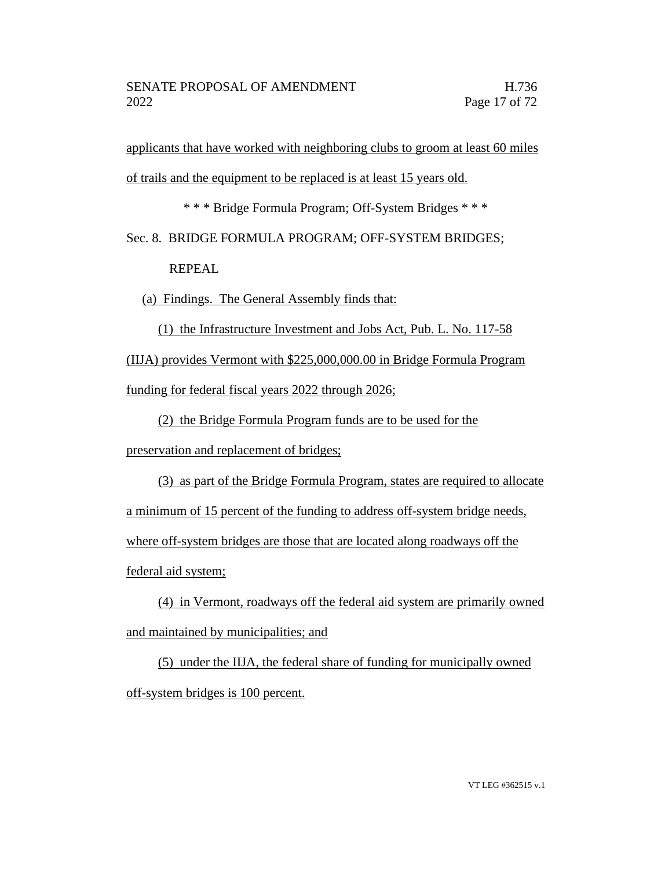applicants that have worked with neighboring clubs to groom at least 60 miles of trails and the equipment to be replaced is at least 15 years old.

\* \* \* Bridge Formula Program; Off-System Bridges \* \* \*

Sec. 8. BRIDGE FORMULA PROGRAM; OFF-SYSTEM BRIDGES;

REPEAL

(a) Findings. The General Assembly finds that:

(1) the Infrastructure Investment and Jobs Act, Pub. L. No. 117-58 (IIJA) provides Vermont with \$225,000,000.00 in Bridge Formula Program funding for federal fiscal years 2022 through 2026;

(2) the Bridge Formula Program funds are to be used for the

preservation and replacement of bridges;

(3) as part of the Bridge Formula Program, states are required to allocate a minimum of 15 percent of the funding to address off-system bridge needs, where off-system bridges are those that are located along roadways off the federal aid system;

(4) in Vermont, roadways off the federal aid system are primarily owned and maintained by municipalities; and

(5) under the IIJA, the federal share of funding for municipally owned off-system bridges is 100 percent.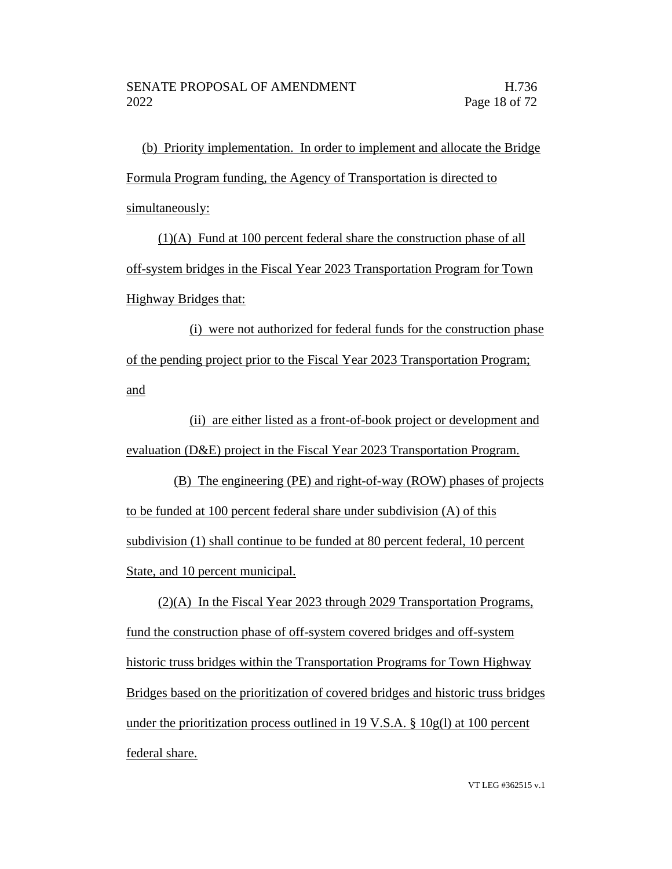(b) Priority implementation. In order to implement and allocate the Bridge Formula Program funding, the Agency of Transportation is directed to simultaneously:

(1)(A) Fund at 100 percent federal share the construction phase of all off-system bridges in the Fiscal Year 2023 Transportation Program for Town Highway Bridges that:

(i) were not authorized for federal funds for the construction phase of the pending project prior to the Fiscal Year 2023 Transportation Program; and

(ii) are either listed as a front-of-book project or development and evaluation (D&E) project in the Fiscal Year 2023 Transportation Program.

(B) The engineering (PE) and right-of-way (ROW) phases of projects to be funded at 100 percent federal share under subdivision (A) of this subdivision (1) shall continue to be funded at 80 percent federal, 10 percent State, and 10 percent municipal.

(2)(A) In the Fiscal Year 2023 through 2029 Transportation Programs, fund the construction phase of off-system covered bridges and off-system historic truss bridges within the Transportation Programs for Town Highway Bridges based on the prioritization of covered bridges and historic truss bridges under the prioritization process outlined in 19 V.S.A.  $\S$  10g(l) at 100 percent federal share.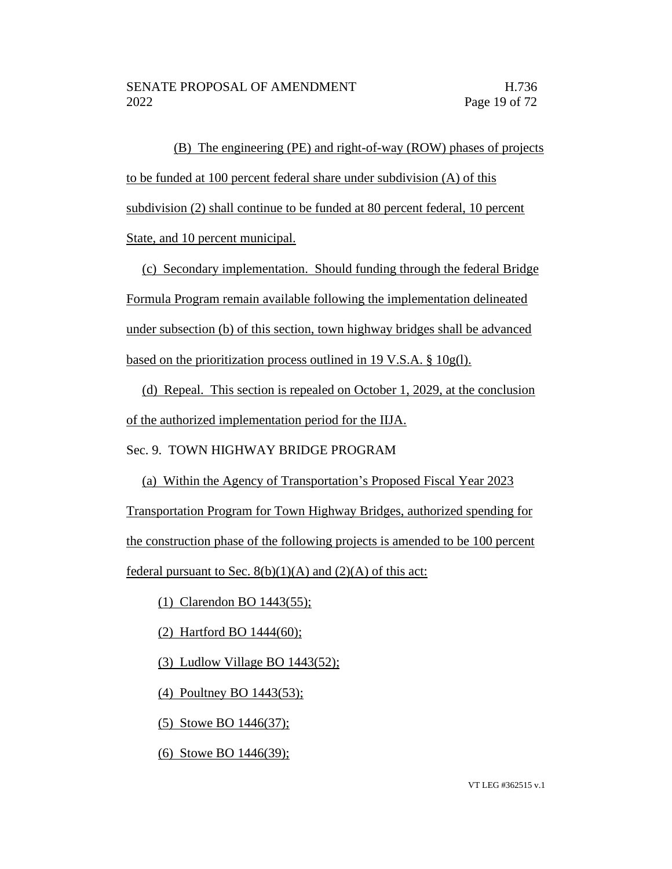(B) The engineering (PE) and right-of-way (ROW) phases of projects to be funded at 100 percent federal share under subdivision (A) of this subdivision (2) shall continue to be funded at 80 percent federal, 10 percent State, and 10 percent municipal.

(c) Secondary implementation. Should funding through the federal Bridge Formula Program remain available following the implementation delineated under subsection (b) of this section, town highway bridges shall be advanced based on the prioritization process outlined in 19 V.S.A. § 10g(l).

(d) Repeal. This section is repealed on October 1, 2029, at the conclusion of the authorized implementation period for the IIJA.

Sec. 9. TOWN HIGHWAY BRIDGE PROGRAM

(a) Within the Agency of Transportation's Proposed Fiscal Year 2023 Transportation Program for Town Highway Bridges, authorized spending for the construction phase of the following projects is amended to be 100 percent federal pursuant to Sec.  $8(b)(1)(A)$  and  $(2)(A)$  of this act:

(1) Clarendon BO 1443(55);

(2) Hartford BO 1444(60);

(3) Ludlow Village BO 1443(52);

(4) Poultney BO 1443(53);

(5) Stowe BO 1446(37);

(6) Stowe BO 1446(39);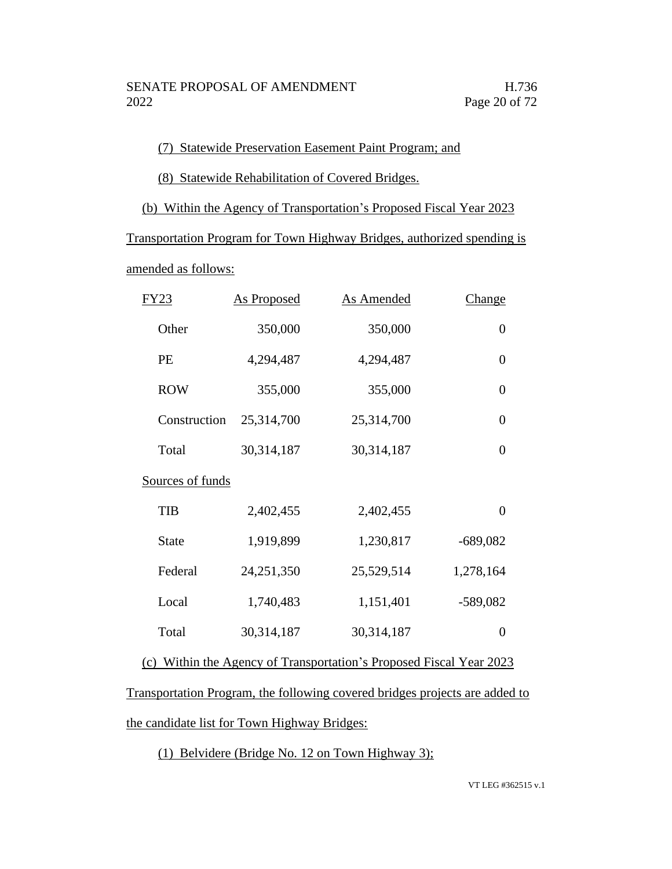### (7) Statewide Preservation Easement Paint Program; and

(8) Statewide Rehabilitation of Covered Bridges.

(b) Within the Agency of Transportation's Proposed Fiscal Year 2023

Transportation Program for Town Highway Bridges, authorized spending is

amended as follows:

| FY23             | <b>As Proposed</b> | <b>As Amended</b> | <u>Change</u>  |
|------------------|--------------------|-------------------|----------------|
| Other            | 350,000            | 350,000           | $\overline{0}$ |
| PE               | 4,294,487          | 4,294,487         | $\overline{0}$ |
| <b>ROW</b>       | 355,000            | 355,000           | $\overline{0}$ |
| Construction     | 25,314,700         | 25,314,700        | $\overline{0}$ |
| Total            | 30,314,187         | 30,314,187        | 0              |
| Sources of funds |                    |                   |                |
| <b>TIB</b>       | 2,402,455          | 2,402,455         | $\overline{0}$ |
| <b>State</b>     | 1,919,899          | 1,230,817         | $-689,082$     |
| Federal          | 24,251,350         | 25,529,514        | 1,278,164      |
| Local            | 1,740,483          | 1,151,401         | $-589,082$     |
| Total            | 30,314,187         | 30,314,187        | $\overline{0}$ |
|                  |                    |                   |                |

(c) Within the Agency of Transportation's Proposed Fiscal Year 2023

Transportation Program, the following covered bridges projects are added to the candidate list for Town Highway Bridges:

(1) Belvidere (Bridge No. 12 on Town Highway 3);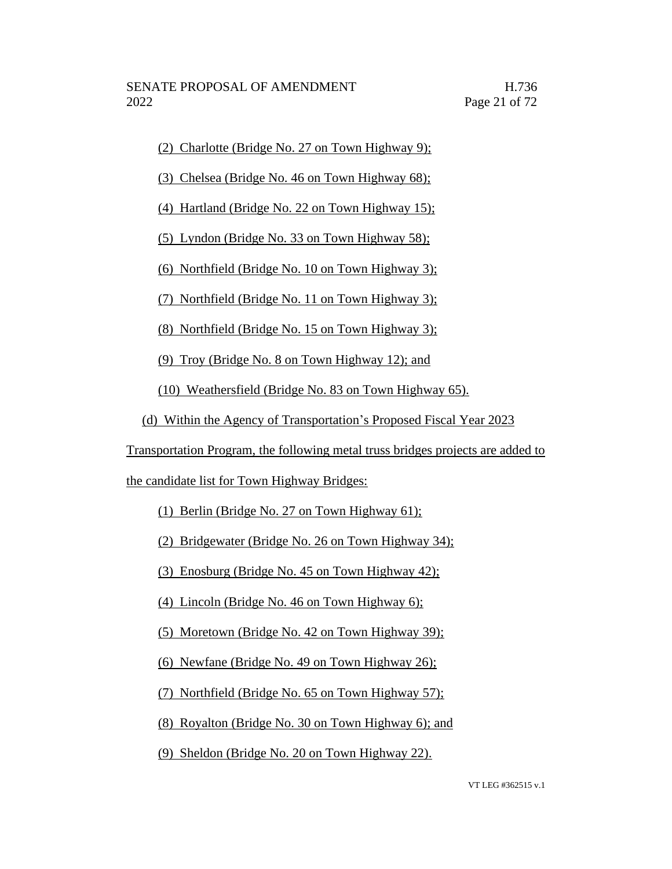(2) Charlotte (Bridge No. 27 on Town Highway 9);

(3) Chelsea (Bridge No. 46 on Town Highway 68);

(4) Hartland (Bridge No. 22 on Town Highway 15);

(5) Lyndon (Bridge No. 33 on Town Highway 58);

(6) Northfield (Bridge No. 10 on Town Highway 3);

(7) Northfield (Bridge No. 11 on Town Highway 3);

(8) Northfield (Bridge No. 15 on Town Highway 3);

(9) Troy (Bridge No. 8 on Town Highway 12); and

(10) Weathersfield (Bridge No. 83 on Town Highway 65).

(d) Within the Agency of Transportation's Proposed Fiscal Year 2023

Transportation Program, the following metal truss bridges projects are added to

the candidate list for Town Highway Bridges:

(1) Berlin (Bridge No. 27 on Town Highway 61);

(2) Bridgewater (Bridge No. 26 on Town Highway 34);

(3) Enosburg (Bridge No. 45 on Town Highway 42);

(4) Lincoln (Bridge No. 46 on Town Highway 6);

(5) Moretown (Bridge No. 42 on Town Highway 39);

(6) Newfane (Bridge No. 49 on Town Highway 26);

(7) Northfield (Bridge No. 65 on Town Highway 57);

(8) Royalton (Bridge No. 30 on Town Highway 6); and

(9) Sheldon (Bridge No. 20 on Town Highway 22).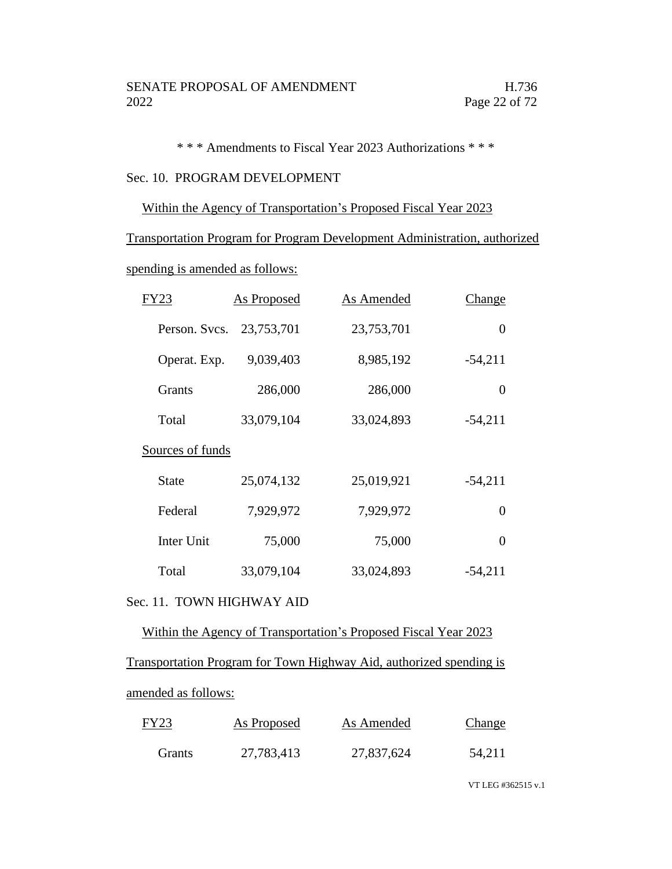\* \* \* Amendments to Fiscal Year 2023 Authorizations \* \* \*

### Sec. 10. PROGRAM DEVELOPMENT

### Within the Agency of Transportation's Proposed Fiscal Year 2023

Transportation Program for Program Development Administration, authorized

spending is amended as follows:

| FY23             | <b>As Proposed</b> | As Amended | Change         |
|------------------|--------------------|------------|----------------|
| Person. Svcs.    | 23,753,701         | 23,753,701 | $\overline{0}$ |
| Operat. Exp.     | 9,039,403          | 8,985,192  | $-54,211$      |
| <b>Grants</b>    | 286,000            | 286,000    | $\overline{0}$ |
| Total            | 33,079,104         | 33,024,893 | $-54,211$      |
| Sources of funds |                    |            |                |
| State            | 25,074,132         | 25,019,921 | $-54,211$      |
| Federal          | 7,929,972          | 7,929,972  | $\theta$       |
| Inter Unit       | 75,000             | 75,000     | $\theta$       |
| Total            | 33,079,104         | 33,024,893 | $-54,211$      |

### Sec. 11. TOWN HIGHWAY AID

Within the Agency of Transportation's Proposed Fiscal Year 2023 Transportation Program for Town Highway Aid, authorized spending is amended as follows:

| FY23   | As Proposed | As Amended | <b>Change</b> |
|--------|-------------|------------|---------------|
| Grants | 27,783,413  | 27,837,624 | 54,211        |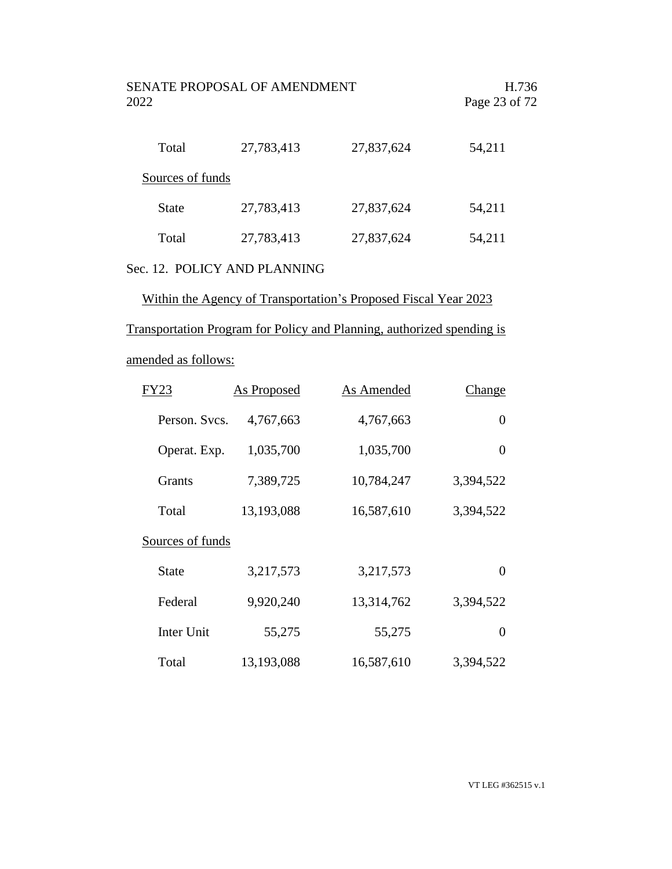| SENATE PROPOSAL OF AMENDMENT<br>2022 |            |            | H.736<br>Page 23 of 72 |  |
|--------------------------------------|------------|------------|------------------------|--|
| Total                                | 27,783,413 | 27,837,624 | 54,211                 |  |
| Sources of funds                     |            |            |                        |  |
| <b>State</b>                         | 27,783,413 | 27,837,624 | 54,211                 |  |
| Total                                | 27,783,413 | 27,837,624 | 54,211                 |  |
|                                      |            |            |                        |  |

# Sec. 12. POLICY AND PLANNING

Within the Agency of Transportation's Proposed Fiscal Year 2023

Transportation Program for Policy and Planning, authorized spending is

# amended as follows:

| FY23             | <b>As Proposed</b> | As Amended | Change    |
|------------------|--------------------|------------|-----------|
| Person. Svcs.    | 4,767,663          | 4,767,663  | 0         |
| Operat. Exp.     | 1,035,700          | 1,035,700  | 0         |
| <b>Grants</b>    | 7,389,725          | 10,784,247 | 3,394,522 |
| Total            | 13,193,088         | 16,587,610 | 3,394,522 |
| Sources of funds |                    |            |           |
| State            | 3,217,573          | 3,217,573  | 0         |
| Federal          | 9,920,240          | 13,314,762 | 3,394,522 |
| Inter Unit       | 55,275             | 55,275     | $\Omega$  |
| Total            | 13,193,088         | 16,587,610 | 3,394,522 |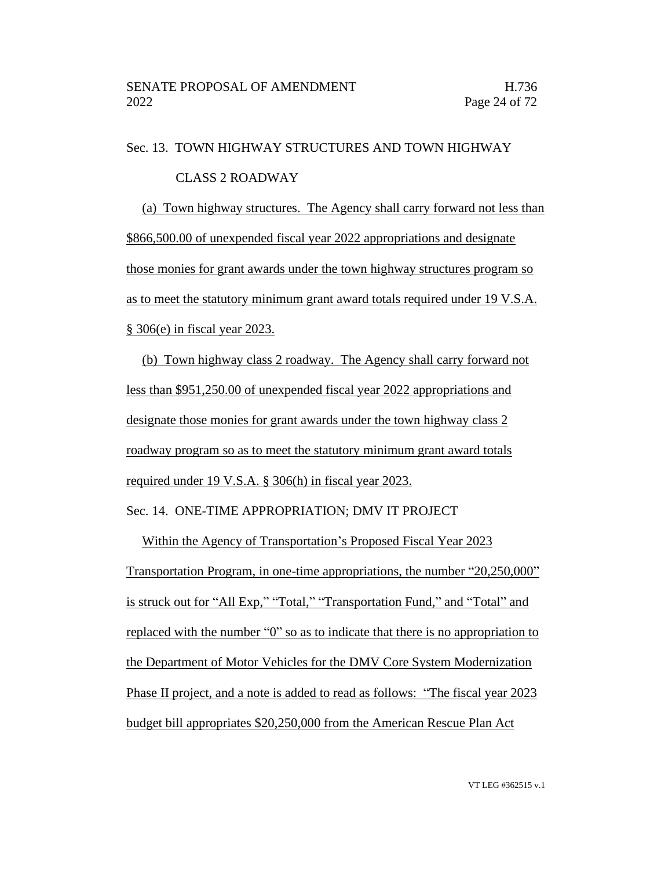Sec. 13. TOWN HIGHWAY STRUCTURES AND TOWN HIGHWAY

#### CLASS 2 ROADWAY

(a) Town highway structures. The Agency shall carry forward not less than \$866,500.00 of unexpended fiscal year 2022 appropriations and designate those monies for grant awards under the town highway structures program so as to meet the statutory minimum grant award totals required under 19 V.S.A. § 306(e) in fiscal year 2023.

(b) Town highway class 2 roadway. The Agency shall carry forward not less than \$951,250.00 of unexpended fiscal year 2022 appropriations and designate those monies for grant awards under the town highway class 2 roadway program so as to meet the statutory minimum grant award totals required under 19 V.S.A. § 306(h) in fiscal year 2023.

### Sec. 14. ONE-TIME APPROPRIATION; DMV IT PROJECT

Within the Agency of Transportation's Proposed Fiscal Year 2023 Transportation Program, in one-time appropriations, the number "20,250,000" is struck out for "All Exp," "Total," "Transportation Fund," and "Total" and replaced with the number "0" so as to indicate that there is no appropriation to the Department of Motor Vehicles for the DMV Core System Modernization Phase II project, and a note is added to read as follows: "The fiscal year 2023 budget bill appropriates \$20,250,000 from the American Rescue Plan Act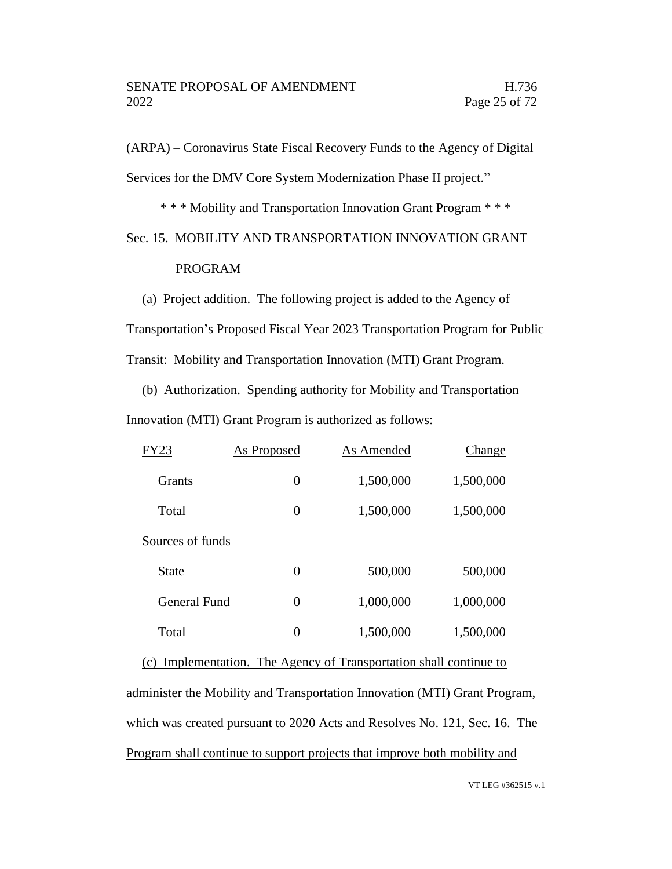# (ARPA) – Coronavirus State Fiscal Recovery Funds to the Agency of Digital Services for the DMV Core System Modernization Phase II project."

\* \* \* Mobility and Transportation Innovation Grant Program \* \* \*

Sec. 15. MOBILITY AND TRANSPORTATION INNOVATION GRANT PROGRAM

(a) Project addition. The following project is added to the Agency of Transportation's Proposed Fiscal Year 2023 Transportation Program for Public

Transit: Mobility and Transportation Innovation (MTI) Grant Program.

(b) Authorization. Spending authority for Mobility and Transportation

Innovation (MTI) Grant Program is authorized as follows:

| FY23             | <b>As Proposed</b> | As Amended | Change    |
|------------------|--------------------|------------|-----------|
| <b>Grants</b>    | $\overline{0}$     | 1,500,000  | 1,500,000 |
| Total            | $\overline{0}$     | 1,500,000  | 1,500,000 |
| Sources of funds |                    |            |           |
| State            | $\overline{0}$     | 500,000    | 500,000   |
| General Fund     | $\overline{0}$     | 1,000,000  | 1,000,000 |
| Total            | 0                  | 1,500,000  | 1,500,000 |

(c) Implementation. The Agency of Transportation shall continue to administer the Mobility and Transportation Innovation (MTI) Grant Program, which was created pursuant to 2020 Acts and Resolves No. 121, Sec. 16. The Program shall continue to support projects that improve both mobility and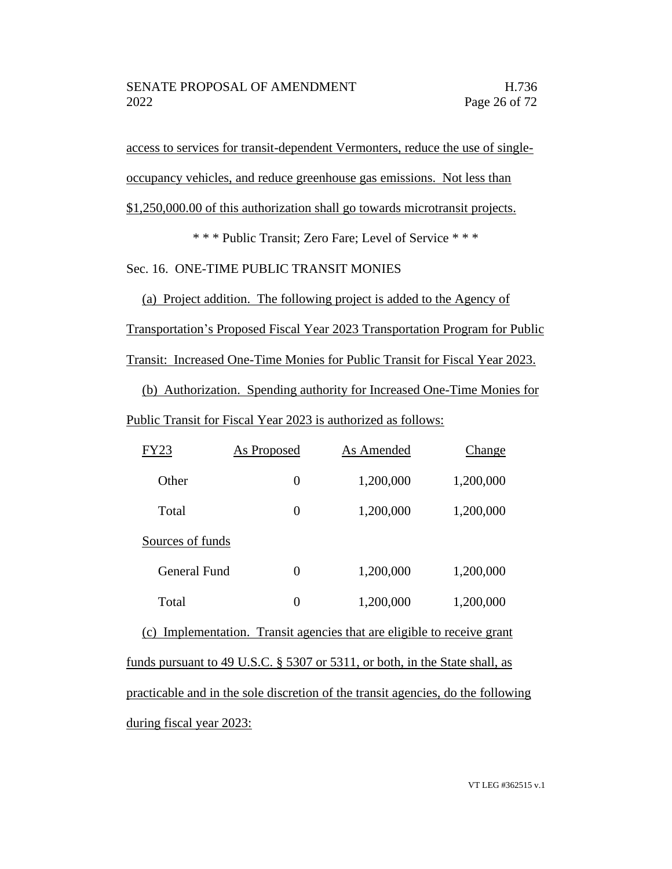access to services for transit-dependent Vermonters, reduce the use of singleoccupancy vehicles, and reduce greenhouse gas emissions. Not less than \$1,250,000.00 of this authorization shall go towards microtransit projects.

\* \* \* Public Transit; Zero Fare; Level of Service \* \* \*

Sec. 16. ONE-TIME PUBLIC TRANSIT MONIES

(a) Project addition. The following project is added to the Agency of Transportation's Proposed Fiscal Year 2023 Transportation Program for Public Transit: Increased One-Time Monies for Public Transit for Fiscal Year 2023.

(b) Authorization. Spending authority for Increased One-Time Monies for Public Transit for Fiscal Year 2023 is authorized as follows:

| FY23                                                                             | <b>As Proposed</b> | As Amended | <b>Change</b> |  |
|----------------------------------------------------------------------------------|--------------------|------------|---------------|--|
| Other                                                                            | $\overline{0}$     | 1,200,000  | 1,200,000     |  |
| Total                                                                            | $\overline{0}$     | 1,200,000  | 1,200,000     |  |
| Sources of funds                                                                 |                    |            |               |  |
| <b>General Fund</b>                                                              | $\overline{0}$     | 1,200,000  | 1,200,000     |  |
| Total                                                                            | $\overline{0}$     | 1,200,000  | 1,200,000     |  |
| (c) Implementation. Transit agencies that are eligible to receive grant          |                    |            |               |  |
| funds pursuant to 49 U.S.C. $\S$ 5307 or 5311, or both, in the State shall, as   |                    |            |               |  |
| practicable and in the sole discretion of the transit agencies, do the following |                    |            |               |  |
| during fiscal year 2023:                                                         |                    |            |               |  |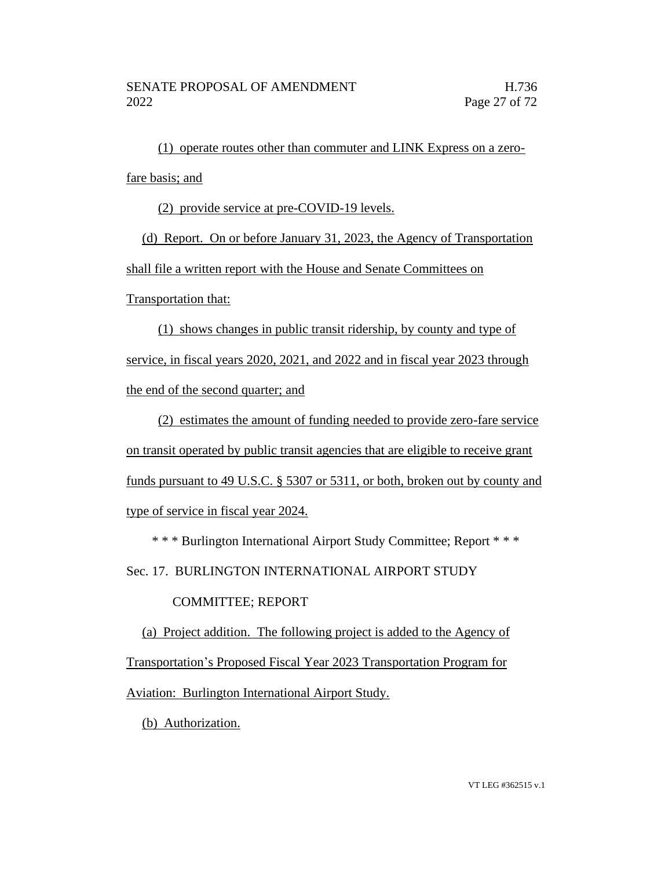(1) operate routes other than commuter and LINK Express on a zerofare basis; and

(2) provide service at pre-COVID-19 levels.

(d) Report. On or before January 31, 2023, the Agency of Transportation shall file a written report with the House and Senate Committees on

Transportation that:

(1) shows changes in public transit ridership, by county and type of service, in fiscal years 2020, 2021, and 2022 and in fiscal year 2023 through the end of the second quarter; and

(2) estimates the amount of funding needed to provide zero-fare service on transit operated by public transit agencies that are eligible to receive grant funds pursuant to 49 U.S.C. § 5307 or 5311, or both, broken out by county and type of service in fiscal year 2024.

\* \* \* Burlington International Airport Study Committee; Report \* \* \*

Sec. 17. BURLINGTON INTERNATIONAL AIRPORT STUDY

## COMMITTEE; REPORT

(a) Project addition. The following project is added to the Agency of Transportation's Proposed Fiscal Year 2023 Transportation Program for Aviation: Burlington International Airport Study.

(b) Authorization.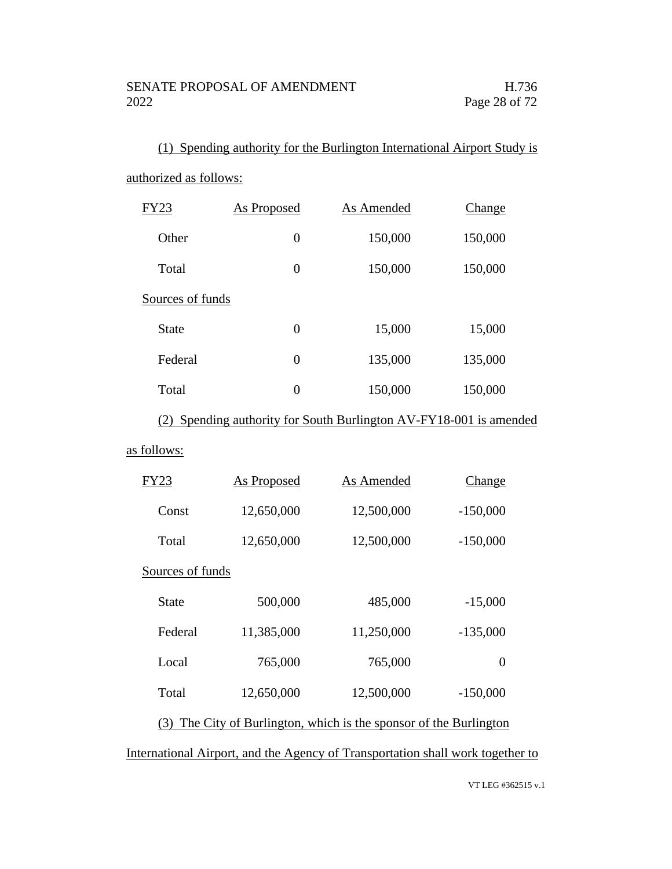(1) Spending authority for the Burlington International Airport Study is authorized as follows:

| <b>FY23</b>      | As Proposed        | As Amended                                                     | Change        |  |
|------------------|--------------------|----------------------------------------------------------------|---------------|--|
| Other            | $\overline{0}$     | 150,000                                                        | 150,000       |  |
| Total            | $\overline{0}$     | 150,000                                                        | 150,000       |  |
| Sources of funds |                    |                                                                |               |  |
| <b>State</b>     | $\boldsymbol{0}$   | 15,000                                                         | 15,000        |  |
| Federal          | $\overline{0}$     | 135,000                                                        | 135,000       |  |
| Total            | $\overline{0}$     | 150,000                                                        | 150,000       |  |
| (2)              |                    | Spending authority for South Burlington AV-FY18-001 is amended |               |  |
| as follows:      |                    |                                                                |               |  |
| FY23             | <b>As Proposed</b> | As Amended                                                     | <u>Change</u> |  |

| Const            | 12,650,000 | 12,500,000 | $-150,000$ |
|------------------|------------|------------|------------|
| Total            | 12,650,000 | 12,500,000 | $-150,000$ |
| Sources of funds |            |            |            |
| State            | 500,000    | 485,000    | $-15,000$  |
| Federal          | 11,385,000 | 11,250,000 | $-135,000$ |
| Local            | 765,000    | 765,000    | 0          |
| Total            | 12,650,000 | 12,500,000 | $-150,000$ |

(3) The City of Burlington, which is the sponsor of the Burlington

International Airport, and the Agency of Transportation shall work together to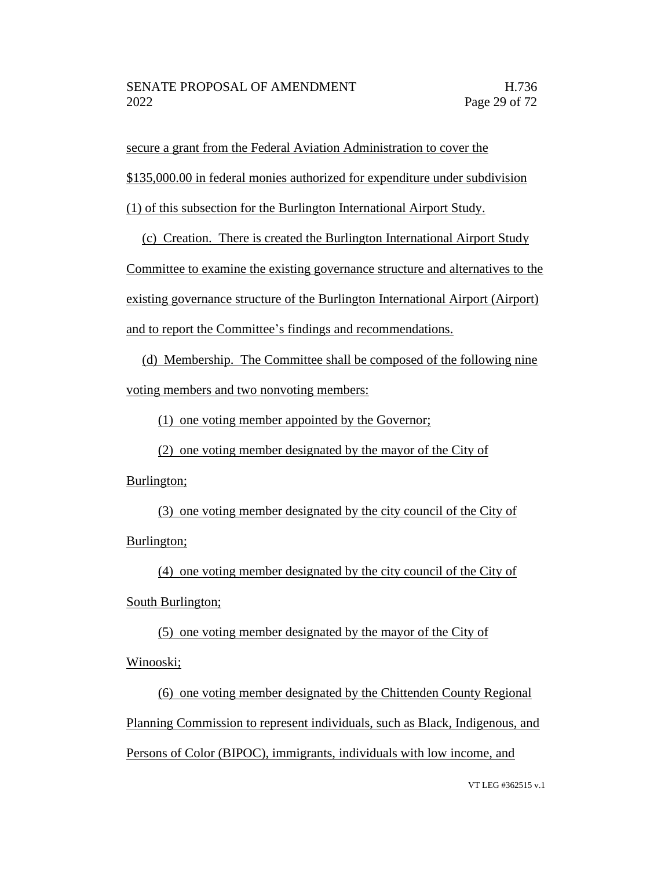secure a grant from the Federal Aviation Administration to cover the

\$135,000.00 in federal monies authorized for expenditure under subdivision

(1) of this subsection for the Burlington International Airport Study.

(c) Creation. There is created the Burlington International Airport Study

Committee to examine the existing governance structure and alternatives to the existing governance structure of the Burlington International Airport (Airport) and to report the Committee's findings and recommendations.

(d) Membership. The Committee shall be composed of the following nine voting members and two nonvoting members:

(1) one voting member appointed by the Governor;

(2) one voting member designated by the mayor of the City of

Burlington;

(3) one voting member designated by the city council of the City of Burlington;

(4) one voting member designated by the city council of the City of

South Burlington;

(5) one voting member designated by the mayor of the City of Winooski;

(6) one voting member designated by the Chittenden County Regional Planning Commission to represent individuals, such as Black, Indigenous, and Persons of Color (BIPOC), immigrants, individuals with low income, and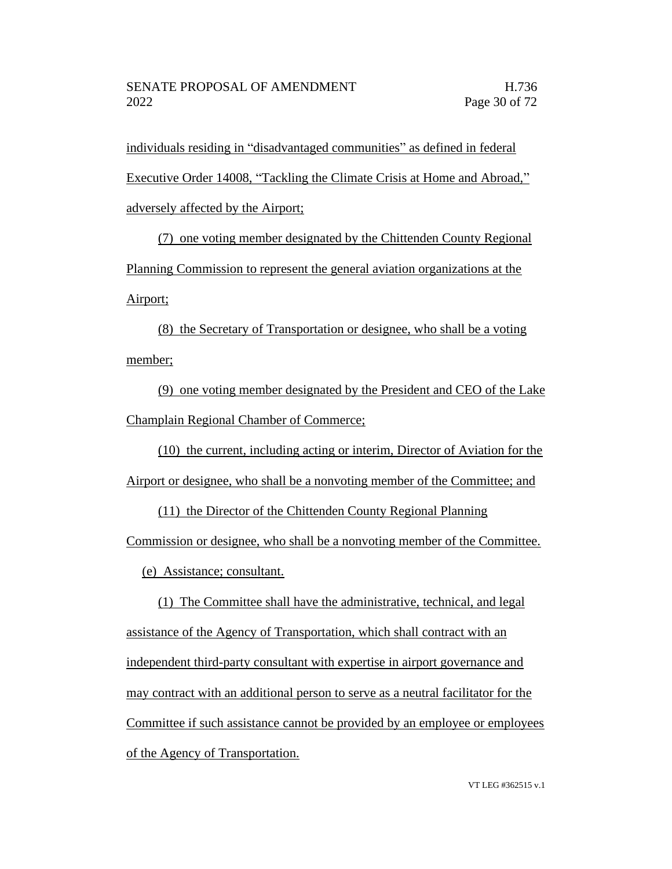individuals residing in "disadvantaged communities" as defined in federal Executive Order 14008, "Tackling the Climate Crisis at Home and Abroad," adversely affected by the Airport;

(7) one voting member designated by the Chittenden County Regional Planning Commission to represent the general aviation organizations at the Airport;

(8) the Secretary of Transportation or designee, who shall be a voting member;

(9) one voting member designated by the President and CEO of the Lake Champlain Regional Chamber of Commerce;

(10) the current, including acting or interim, Director of Aviation for the Airport or designee, who shall be a nonvoting member of the Committee; and

(11) the Director of the Chittenden County Regional Planning

Commission or designee, who shall be a nonvoting member of the Committee.

(e) Assistance; consultant.

(1) The Committee shall have the administrative, technical, and legal assistance of the Agency of Transportation, which shall contract with an independent third-party consultant with expertise in airport governance and may contract with an additional person to serve as a neutral facilitator for the Committee if such assistance cannot be provided by an employee or employees of the Agency of Transportation.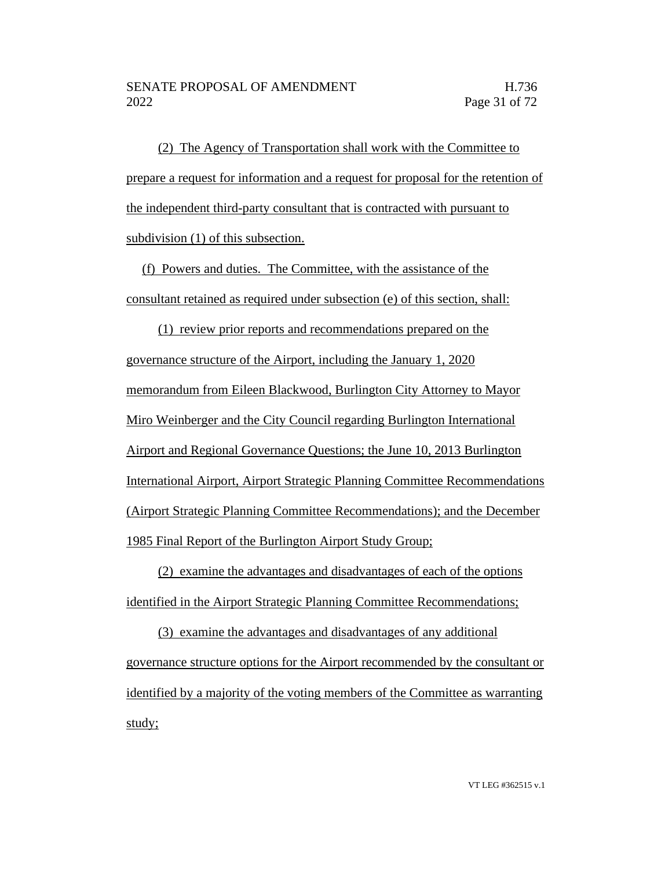(2) The Agency of Transportation shall work with the Committee to prepare a request for information and a request for proposal for the retention of the independent third-party consultant that is contracted with pursuant to subdivision (1) of this subsection.

(f) Powers and duties. The Committee, with the assistance of the consultant retained as required under subsection (e) of this section, shall:

(1) review prior reports and recommendations prepared on the governance structure of the Airport, including the January 1, 2020 memorandum from Eileen Blackwood, Burlington City Attorney to Mayor Miro Weinberger and the City Council regarding Burlington International Airport and Regional Governance Questions; the June 10, 2013 Burlington International Airport, Airport Strategic Planning Committee Recommendations (Airport Strategic Planning Committee Recommendations); and the December 1985 Final Report of the Burlington Airport Study Group;

(2) examine the advantages and disadvantages of each of the options identified in the Airport Strategic Planning Committee Recommendations;

(3) examine the advantages and disadvantages of any additional governance structure options for the Airport recommended by the consultant or identified by a majority of the voting members of the Committee as warranting study;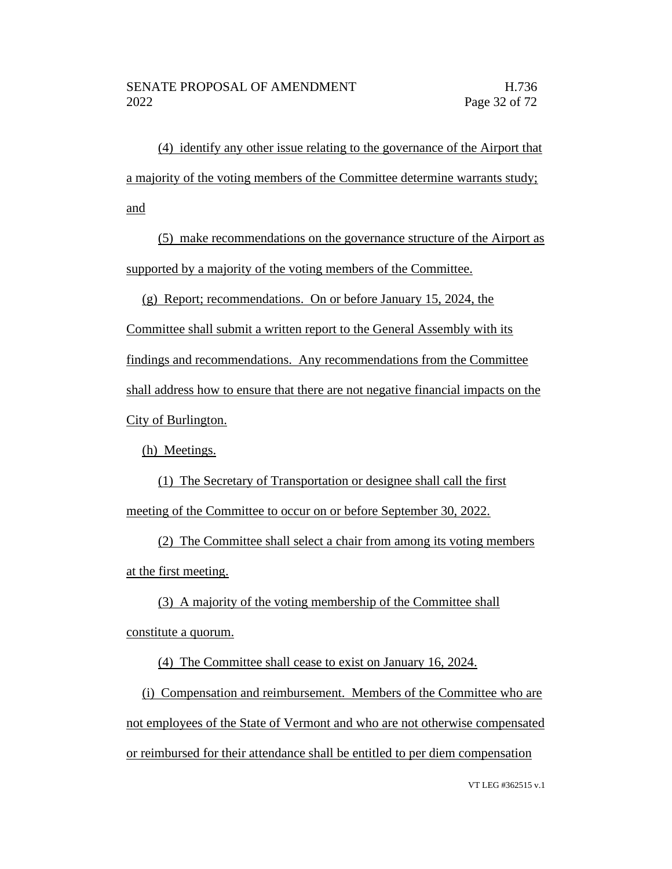(4) identify any other issue relating to the governance of the Airport that a majority of the voting members of the Committee determine warrants study; and

(5) make recommendations on the governance structure of the Airport as supported by a majority of the voting members of the Committee.

(g) Report; recommendations. On or before January 15, 2024, the

Committee shall submit a written report to the General Assembly with its

findings and recommendations. Any recommendations from the Committee

shall address how to ensure that there are not negative financial impacts on the

City of Burlington.

(h) Meetings.

(1) The Secretary of Transportation or designee shall call the first meeting of the Committee to occur on or before September 30, 2022.

(2) The Committee shall select a chair from among its voting members at the first meeting.

(3) A majority of the voting membership of the Committee shall constitute a quorum.

(4) The Committee shall cease to exist on January 16, 2024.

(i) Compensation and reimbursement. Members of the Committee who are not employees of the State of Vermont and who are not otherwise compensated or reimbursed for their attendance shall be entitled to per diem compensation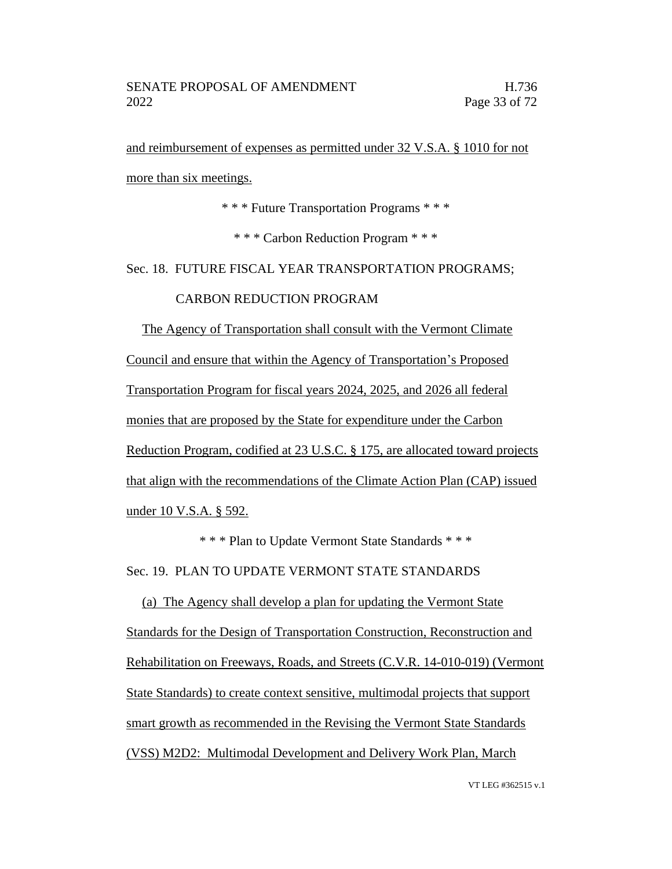and reimbursement of expenses as permitted under 32 V.S.A. § 1010 for not more than six meetings.

\* \* \* Future Transportation Programs \* \* \*

\* \* \* Carbon Reduction Program \* \* \*

Sec. 18. FUTURE FISCAL YEAR TRANSPORTATION PROGRAMS;

#### CARBON REDUCTION PROGRAM

The Agency of Transportation shall consult with the Vermont Climate Council and ensure that within the Agency of Transportation's Proposed Transportation Program for fiscal years 2024, 2025, and 2026 all federal monies that are proposed by the State for expenditure under the Carbon Reduction Program, codified at 23 U.S.C. § 175, are allocated toward projects that align with the recommendations of the Climate Action Plan (CAP) issued under 10 V.S.A. § 592.

\* \* \* Plan to Update Vermont State Standards \* \* \* Sec. 19. PLAN TO UPDATE VERMONT STATE STANDARDS

(a) The Agency shall develop a plan for updating the Vermont State Standards for the Design of Transportation Construction, Reconstruction and Rehabilitation on Freeways, Roads, and Streets (C.V.R. 14-010-019) (Vermont State Standards) to create context sensitive, multimodal projects that support smart growth as recommended in the Revising the Vermont State Standards (VSS) M2D2: Multimodal Development and Delivery Work Plan, March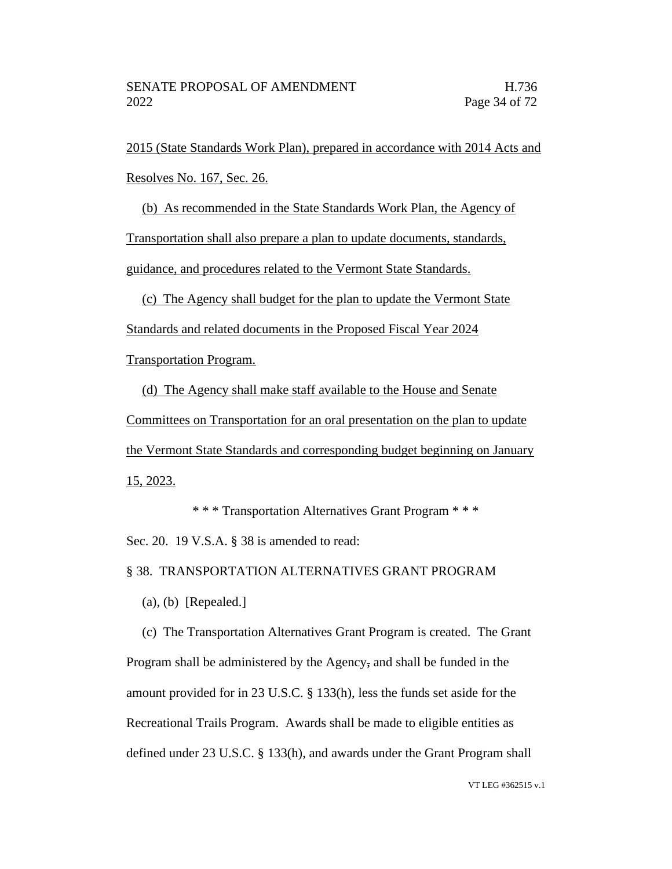2015 (State Standards Work Plan), prepared in accordance with 2014 Acts and Resolves No. 167, Sec. 26.

(b) As recommended in the State Standards Work Plan, the Agency of

Transportation shall also prepare a plan to update documents, standards,

guidance, and procedures related to the Vermont State Standards.

(c) The Agency shall budget for the plan to update the Vermont State Standards and related documents in the Proposed Fiscal Year 2024

Transportation Program.

(d) The Agency shall make staff available to the House and Senate

Committees on Transportation for an oral presentation on the plan to update

the Vermont State Standards and corresponding budget beginning on January 15, 2023.

\* \* \* Transportation Alternatives Grant Program \* \* \*

Sec. 20. 19 V.S.A. § 38 is amended to read:

§ 38. TRANSPORTATION ALTERNATIVES GRANT PROGRAM

(a), (b) [Repealed.]

(c) The Transportation Alternatives Grant Program is created. The Grant Program shall be administered by the Agency, and shall be funded in the amount provided for in 23 U.S.C. § 133(h), less the funds set aside for the Recreational Trails Program. Awards shall be made to eligible entities as defined under 23 U.S.C. § 133(h), and awards under the Grant Program shall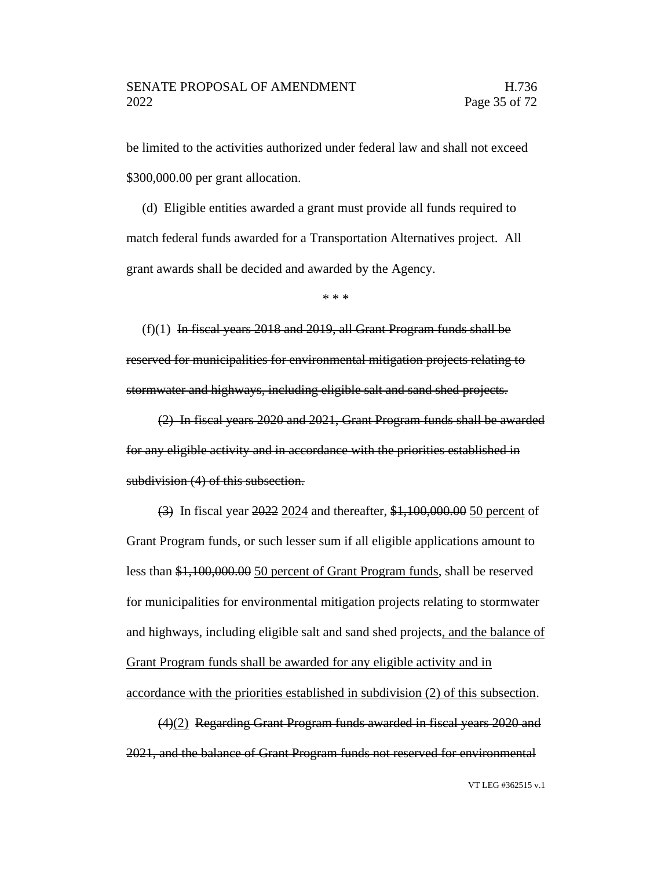be limited to the activities authorized under federal law and shall not exceed \$300,000.00 per grant allocation.

(d) Eligible entities awarded a grant must provide all funds required to match federal funds awarded for a Transportation Alternatives project. All grant awards shall be decided and awarded by the Agency.

\* \* \*

 $(f)(1)$  In fiscal years 2018 and 2019, all Grant Program funds shall be reserved for municipalities for environmental mitigation projects relating to stormwater and highways, including eligible salt and sand shed projects.

(2) In fiscal years 2020 and 2021, Grant Program funds shall be awarded for any eligible activity and in accordance with the priorities established in subdivision (4) of this subsection.

(3) In fiscal year 2022 2024 and thereafter, \$1,100,000.00 50 percent of Grant Program funds, or such lesser sum if all eligible applications amount to less than \$1,100,000.00 50 percent of Grant Program funds, shall be reserved for municipalities for environmental mitigation projects relating to stormwater and highways, including eligible salt and sand shed projects, and the balance of Grant Program funds shall be awarded for any eligible activity and in accordance with the priorities established in subdivision (2) of this subsection.

(4)(2) Regarding Grant Program funds awarded in fiscal years 2020 and 2021, and the balance of Grant Program funds not reserved for environmental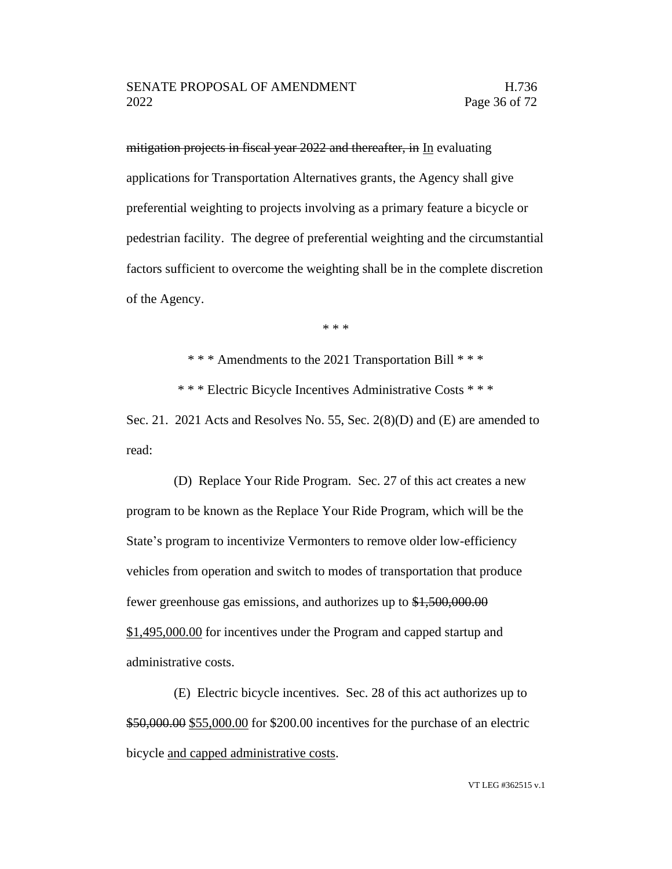mitigation projects in fiscal year 2022 and thereafter, in In evaluating applications for Transportation Alternatives grants, the Agency shall give preferential weighting to projects involving as a primary feature a bicycle or pedestrian facility. The degree of preferential weighting and the circumstantial factors sufficient to overcome the weighting shall be in the complete discretion of the Agency.

\* \* \*

\* \* \* Amendments to the 2021 Transportation Bill \* \* \*

\* \* \* Electric Bicycle Incentives Administrative Costs \* \* \*

Sec. 21. 2021 Acts and Resolves No. 55, Sec. 2(8)(D) and (E) are amended to read:

(D) Replace Your Ride Program. Sec. 27 of this act creates a new program to be known as the Replace Your Ride Program, which will be the State's program to incentivize Vermonters to remove older low-efficiency vehicles from operation and switch to modes of transportation that produce fewer greenhouse gas emissions, and authorizes up to \$1,500,000.00 \$1,495,000.00 for incentives under the Program and capped startup and administrative costs.

(E) Electric bicycle incentives. Sec. 28 of this act authorizes up to \$50,000.00 \$55,000.00 for \$200.00 incentives for the purchase of an electric bicycle and capped administrative costs.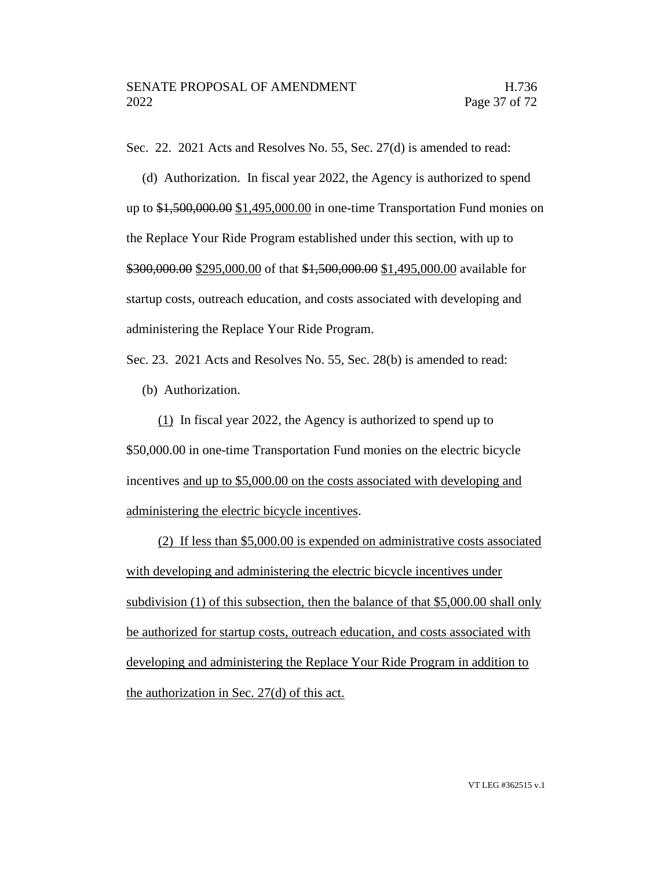Sec. 22. 2021 Acts and Resolves No. 55, Sec. 27(d) is amended to read:

(d) Authorization. In fiscal year 2022, the Agency is authorized to spend up to \$1,500,000.00 \$1,495,000.00 in one-time Transportation Fund monies on the Replace Your Ride Program established under this section, with up to \$300,000.00 \$295,000.00 of that \$1,500,000.00 \$1,495,000.00 available for startup costs, outreach education, and costs associated with developing and administering the Replace Your Ride Program.

Sec. 23. 2021 Acts and Resolves No. 55, Sec. 28(b) is amended to read:

(b) Authorization.

(1) In fiscal year 2022, the Agency is authorized to spend up to \$50,000.00 in one-time Transportation Fund monies on the electric bicycle incentives and up to \$5,000.00 on the costs associated with developing and administering the electric bicycle incentives.

(2) If less than \$5,000.00 is expended on administrative costs associated with developing and administering the electric bicycle incentives under subdivision (1) of this subsection, then the balance of that \$5,000.00 shall only be authorized for startup costs, outreach education, and costs associated with developing and administering the Replace Your Ride Program in addition to the authorization in Sec. 27(d) of this act.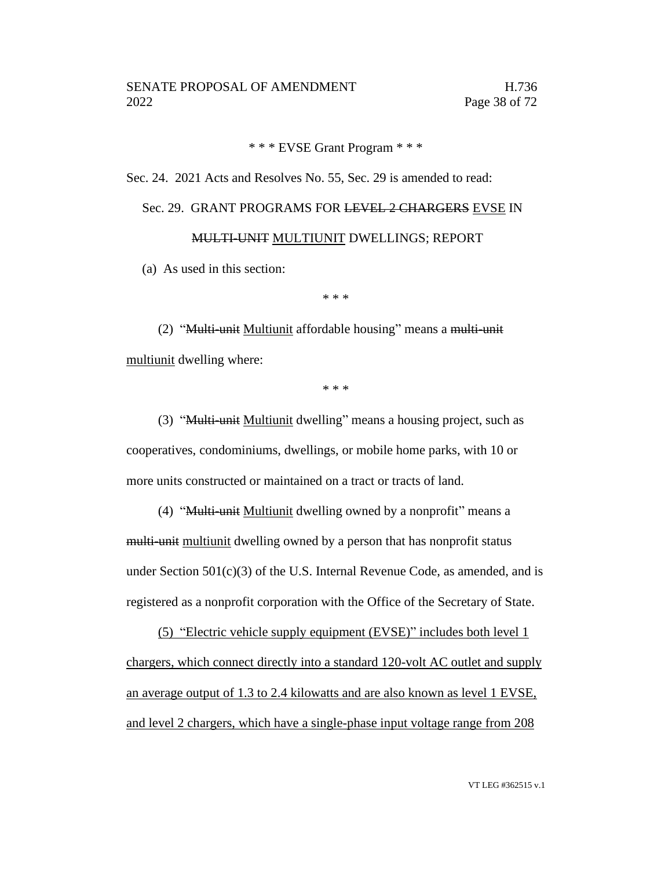# \* \* \* EVSE Grant Program \* \* \*

Sec. 24. 2021 Acts and Resolves No. 55, Sec. 29 is amended to read:

# Sec. 29. GRANT PROGRAMS FOR LEVEL 2 CHARGERS EVSE IN MULTI-UNIT MULTIUNIT DWELLINGS; REPORT

(a) As used in this section:

\* \* \*

(2) "Multi-unit Multiunit affordable housing" means a multi-unit multiunit dwelling where:

\* \* \*

(3) "Multi-unit Multiunit dwelling" means a housing project, such as cooperatives, condominiums, dwellings, or mobile home parks, with 10 or more units constructed or maintained on a tract or tracts of land.

(4) "Multi-unit Multiunit dwelling owned by a nonprofit" means a multi-unit multiunit dwelling owned by a person that has nonprofit status under Section  $501(c)(3)$  of the U.S. Internal Revenue Code, as amended, and is registered as a nonprofit corporation with the Office of the Secretary of State.

(5) "Electric vehicle supply equipment (EVSE)" includes both level 1 chargers, which connect directly into a standard 120-volt AC outlet and supply an average output of 1.3 to 2.4 kilowatts and are also known as level 1 EVSE, and level 2 chargers, which have a single-phase input voltage range from 208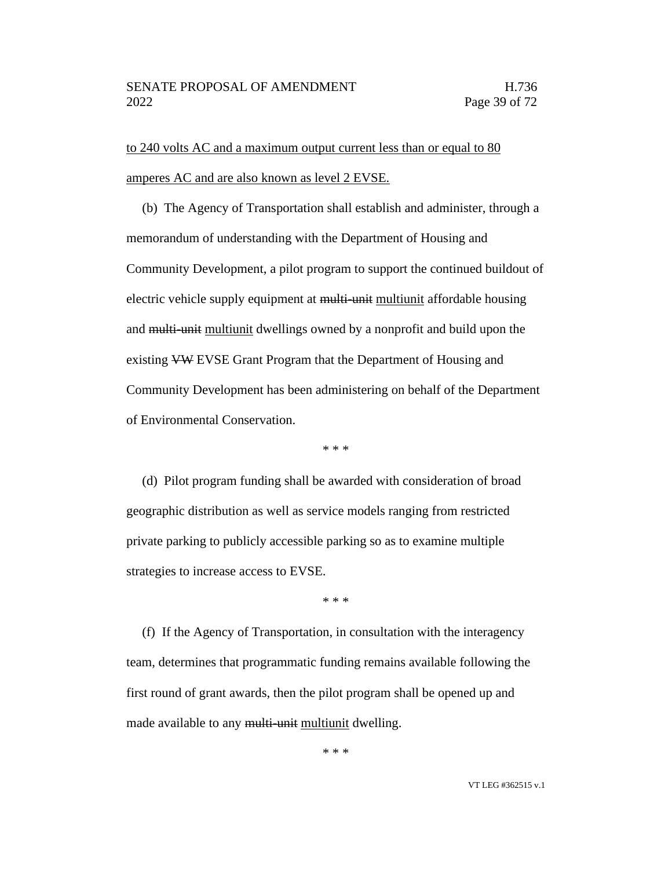to 240 volts AC and a maximum output current less than or equal to 80 amperes AC and are also known as level 2 EVSE.

(b) The Agency of Transportation shall establish and administer, through a memorandum of understanding with the Department of Housing and Community Development, a pilot program to support the continued buildout of electric vehicle supply equipment at multi-unit multiunit affordable housing and multi-unit multiunit dwellings owned by a nonprofit and build upon the existing VW EVSE Grant Program that the Department of Housing and Community Development has been administering on behalf of the Department of Environmental Conservation.

\* \* \*

(d) Pilot program funding shall be awarded with consideration of broad geographic distribution as well as service models ranging from restricted private parking to publicly accessible parking so as to examine multiple strategies to increase access to EVSE.

\* \* \*

(f) If the Agency of Transportation, in consultation with the interagency team, determines that programmatic funding remains available following the first round of grant awards, then the pilot program shall be opened up and made available to any multi-unit multiunit dwelling.

\* \* \*

VT LEG #362515 v.1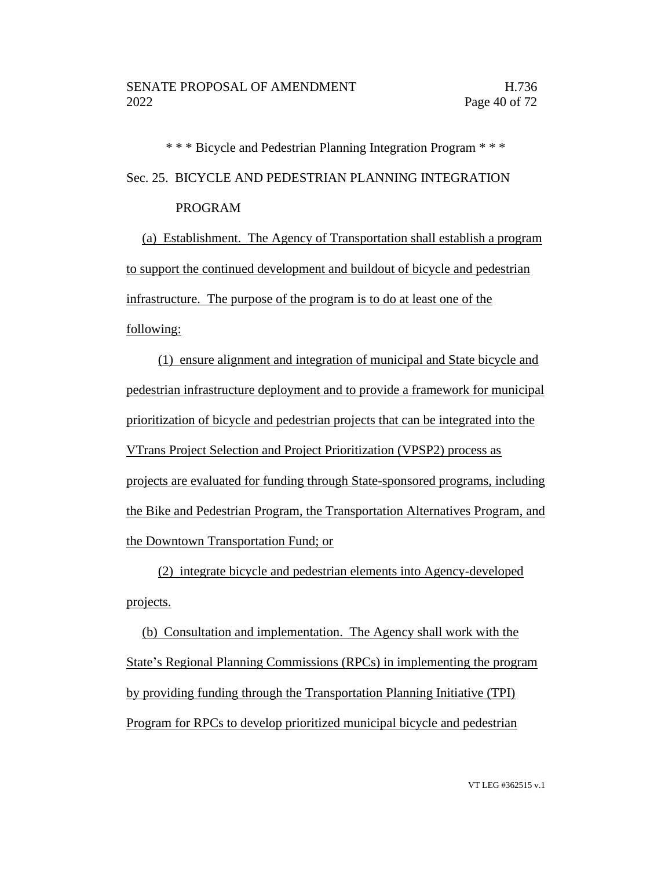\* \* \* Bicycle and Pedestrian Planning Integration Program \* \* \* Sec. 25. BICYCLE AND PEDESTRIAN PLANNING INTEGRATION PROGRAM

(a) Establishment. The Agency of Transportation shall establish a program to support the continued development and buildout of bicycle and pedestrian infrastructure. The purpose of the program is to do at least one of the following:

(1) ensure alignment and integration of municipal and State bicycle and pedestrian infrastructure deployment and to provide a framework for municipal prioritization of bicycle and pedestrian projects that can be integrated into the VTrans Project Selection and Project Prioritization (VPSP2) process as projects are evaluated for funding through State-sponsored programs, including the Bike and Pedestrian Program, the Transportation Alternatives Program, and the Downtown Transportation Fund; or

(2) integrate bicycle and pedestrian elements into Agency-developed projects.

(b) Consultation and implementation. The Agency shall work with the State's Regional Planning Commissions (RPCs) in implementing the program by providing funding through the Transportation Planning Initiative (TPI) Program for RPCs to develop prioritized municipal bicycle and pedestrian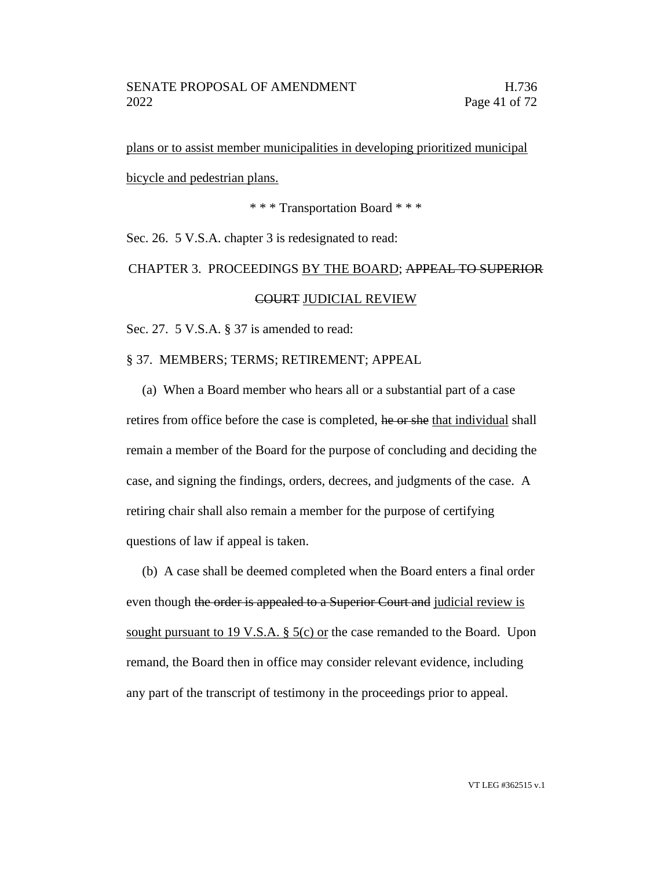plans or to assist member municipalities in developing prioritized municipal bicycle and pedestrian plans.

\* \* \* Transportation Board \* \* \*

Sec. 26. 5 V.S.A. chapter 3 is redesignated to read:

CHAPTER 3. PROCEEDINGS BY THE BOARD; APPEAL TO SUPERIOR COURT JUDICIAL REVIEW

Sec. 27. 5 V.S.A. § 37 is amended to read:

§ 37. MEMBERS; TERMS; RETIREMENT; APPEAL

(a) When a Board member who hears all or a substantial part of a case retires from office before the case is completed, he or she that individual shall remain a member of the Board for the purpose of concluding and deciding the case, and signing the findings, orders, decrees, and judgments of the case. A retiring chair shall also remain a member for the purpose of certifying questions of law if appeal is taken.

(b) A case shall be deemed completed when the Board enters a final order even though the order is appealed to a Superior Court and judicial review is sought pursuant to 19 V.S.A.  $\S$  5(c) or the case remanded to the Board. Upon remand, the Board then in office may consider relevant evidence, including any part of the transcript of testimony in the proceedings prior to appeal.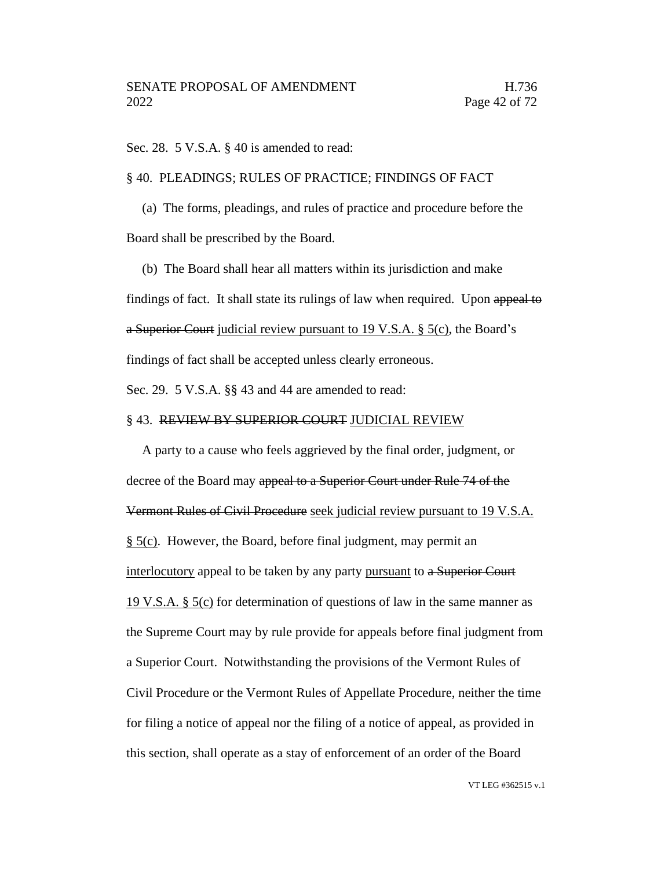Sec. 28. 5 V.S.A. § 40 is amended to read:

§ 40. PLEADINGS; RULES OF PRACTICE; FINDINGS OF FACT

(a) The forms, pleadings, and rules of practice and procedure before the Board shall be prescribed by the Board.

(b) The Board shall hear all matters within its jurisdiction and make findings of fact. It shall state its rulings of law when required. Upon appeal to a Superior Court judicial review pursuant to 19 V.S.A. § 5(c), the Board's findings of fact shall be accepted unless clearly erroneous.

Sec. 29. 5 V.S.A. §§ 43 and 44 are amended to read:

# § 43. REVIEW BY SUPERIOR COURT JUDICIAL REVIEW

A party to a cause who feels aggrieved by the final order, judgment, or decree of the Board may appeal to a Superior Court under Rule 74 of the Vermont Rules of Civil Procedure seek judicial review pursuant to 19 V.S.A. § 5(c). However, the Board, before final judgment, may permit an interlocutory appeal to be taken by any party pursuant to a Superior Court 19 V.S.A.  $\S$  5(c) for determination of questions of law in the same manner as the Supreme Court may by rule provide for appeals before final judgment from a Superior Court. Notwithstanding the provisions of the Vermont Rules of Civil Procedure or the Vermont Rules of Appellate Procedure, neither the time for filing a notice of appeal nor the filing of a notice of appeal, as provided in this section, shall operate as a stay of enforcement of an order of the Board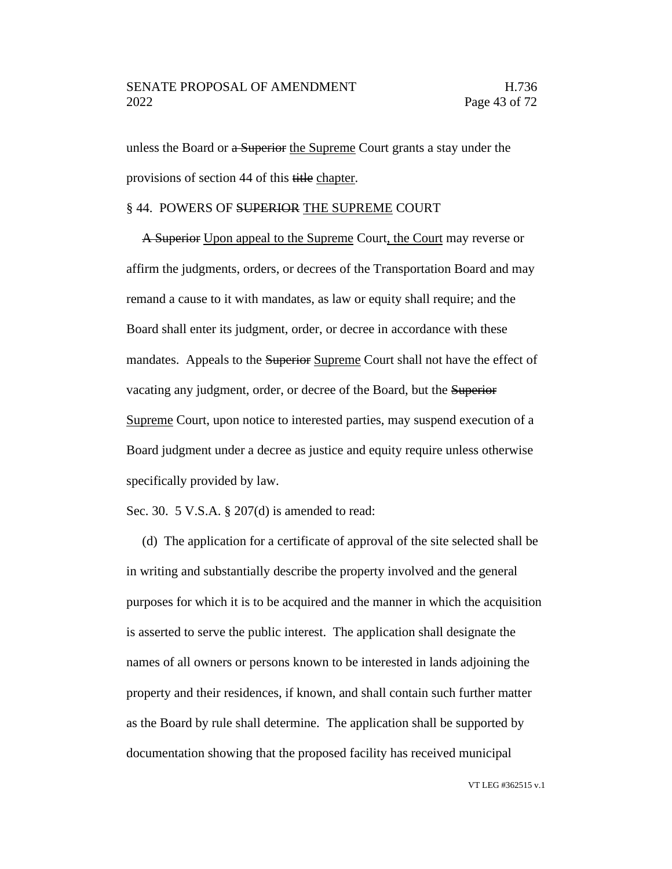## SENATE PROPOSAL OF AMENDMENT FRAMENTIES AND H.736 2022 Page 43 of 72

unless the Board or a Superior the Supreme Court grants a stay under the provisions of section 44 of this title chapter.

# § 44. POWERS OF SUPERIOR THE SUPREME COURT

A Superior Upon appeal to the Supreme Court, the Court may reverse or affirm the judgments, orders, or decrees of the Transportation Board and may remand a cause to it with mandates, as law or equity shall require; and the Board shall enter its judgment, order, or decree in accordance with these mandates. Appeals to the Superior Supreme Court shall not have the effect of vacating any judgment, order, or decree of the Board, but the Superior Supreme Court, upon notice to interested parties, may suspend execution of a Board judgment under a decree as justice and equity require unless otherwise specifically provided by law.

Sec. 30. 5 V.S.A. § 207(d) is amended to read:

(d) The application for a certificate of approval of the site selected shall be in writing and substantially describe the property involved and the general purposes for which it is to be acquired and the manner in which the acquisition is asserted to serve the public interest. The application shall designate the names of all owners or persons known to be interested in lands adjoining the property and their residences, if known, and shall contain such further matter as the Board by rule shall determine. The application shall be supported by documentation showing that the proposed facility has received municipal

VT LEG #362515 v.1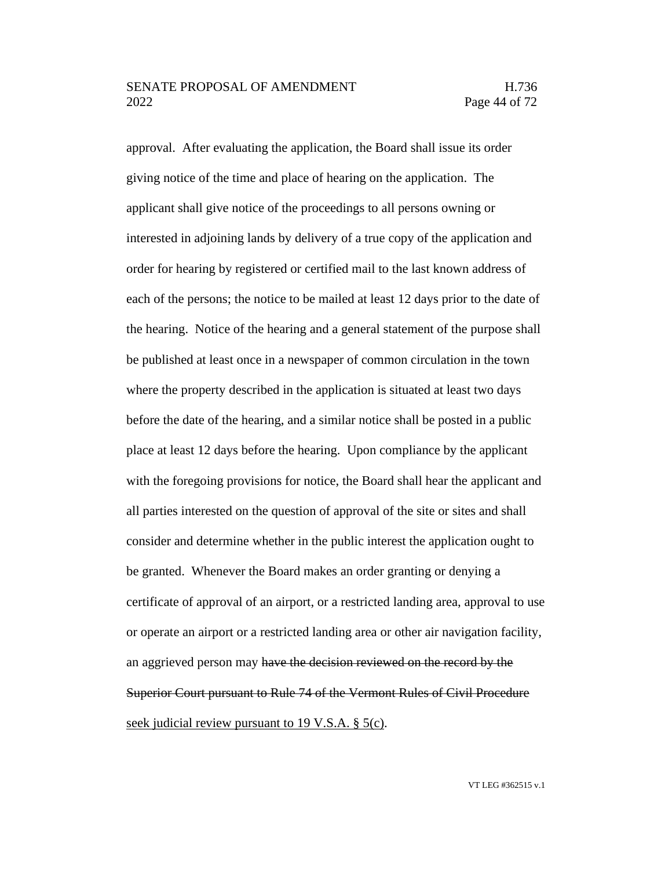# SENATE PROPOSAL OF AMENDMENT FRAMENTIES AND H.736 2022 Page 44 of 72

approval. After evaluating the application, the Board shall issue its order giving notice of the time and place of hearing on the application. The applicant shall give notice of the proceedings to all persons owning or interested in adjoining lands by delivery of a true copy of the application and order for hearing by registered or certified mail to the last known address of each of the persons; the notice to be mailed at least 12 days prior to the date of the hearing. Notice of the hearing and a general statement of the purpose shall be published at least once in a newspaper of common circulation in the town where the property described in the application is situated at least two days before the date of the hearing, and a similar notice shall be posted in a public place at least 12 days before the hearing. Upon compliance by the applicant with the foregoing provisions for notice, the Board shall hear the applicant and all parties interested on the question of approval of the site or sites and shall consider and determine whether in the public interest the application ought to be granted. Whenever the Board makes an order granting or denying a certificate of approval of an airport, or a restricted landing area, approval to use or operate an airport or a restricted landing area or other air navigation facility, an aggrieved person may have the decision reviewed on the record by the Superior Court pursuant to Rule 74 of the Vermont Rules of Civil Procedure seek judicial review pursuant to 19 V.S.A. § 5(c).

VT LEG #362515 v.1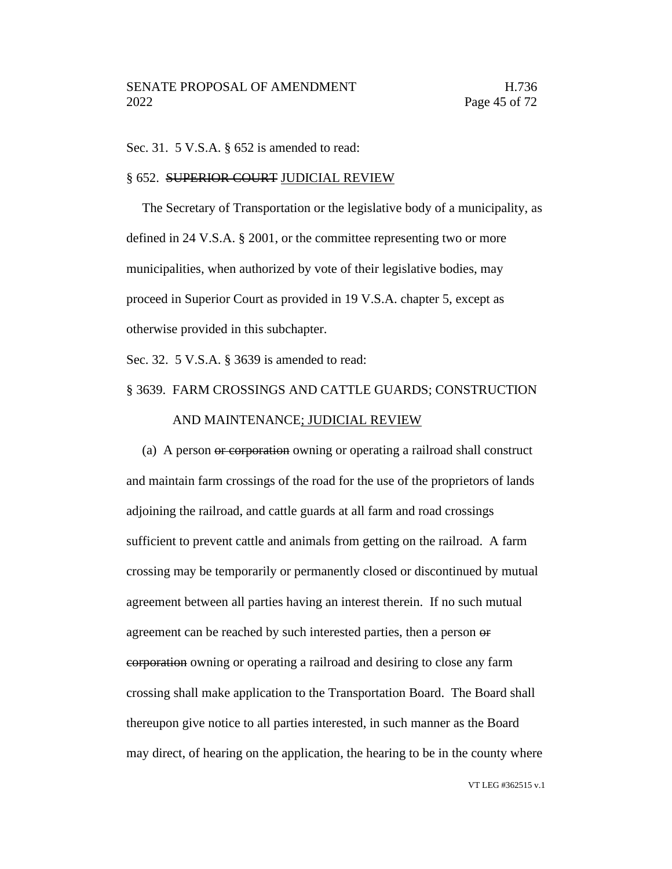Sec. 31. 5 V.S.A. § 652 is amended to read:

#### § 652. SUPERIOR COURT JUDICIAL REVIEW

The Secretary of Transportation or the legislative body of a municipality, as defined in 24 V.S.A. § 2001, or the committee representing two or more municipalities, when authorized by vote of their legislative bodies, may proceed in Superior Court as provided in 19 V.S.A. chapter 5, except as otherwise provided in this subchapter.

Sec. 32. 5 V.S.A. § 3639 is amended to read:

# § 3639. FARM CROSSINGS AND CATTLE GUARDS; CONSTRUCTION

#### AND MAINTENANCE; JUDICIAL REVIEW

(a) A person or corporation owning or operating a railroad shall construct and maintain farm crossings of the road for the use of the proprietors of lands adjoining the railroad, and cattle guards at all farm and road crossings sufficient to prevent cattle and animals from getting on the railroad. A farm crossing may be temporarily or permanently closed or discontinued by mutual agreement between all parties having an interest therein. If no such mutual agreement can be reached by such interested parties, then a person or corporation owning or operating a railroad and desiring to close any farm crossing shall make application to the Transportation Board. The Board shall thereupon give notice to all parties interested, in such manner as the Board may direct, of hearing on the application, the hearing to be in the county where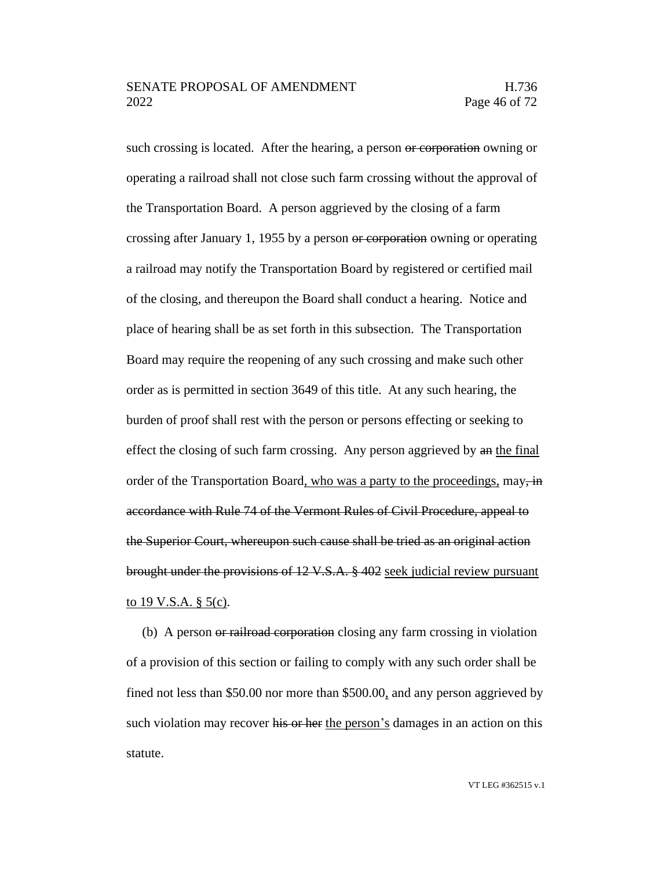such crossing is located. After the hearing, a person or corporation owning or operating a railroad shall not close such farm crossing without the approval of the Transportation Board. A person aggrieved by the closing of a farm crossing after January 1, 1955 by a person or corporation owning or operating a railroad may notify the Transportation Board by registered or certified mail of the closing, and thereupon the Board shall conduct a hearing. Notice and place of hearing shall be as set forth in this subsection. The Transportation Board may require the reopening of any such crossing and make such other order as is permitted in section 3649 of this title. At any such hearing, the burden of proof shall rest with the person or persons effecting or seeking to effect the closing of such farm crossing. Any person aggrieved by an the final order of the Transportation Board, who was a party to the proceedings,  $\text{may}$ ,  $\text{in}$ accordance with Rule 74 of the Vermont Rules of Civil Procedure, appeal to the Superior Court, whereupon such cause shall be tried as an original action brought under the provisions of 12 V.S.A. § 402 seek judicial review pursuant to 19 V.S.A.  $\S$  5(c).

(b) A person or railroad corporation closing any farm crossing in violation of a provision of this section or failing to comply with any such order shall be fined not less than \$50.00 nor more than \$500.00, and any person aggrieved by such violation may recover his or her the person's damages in an action on this statute.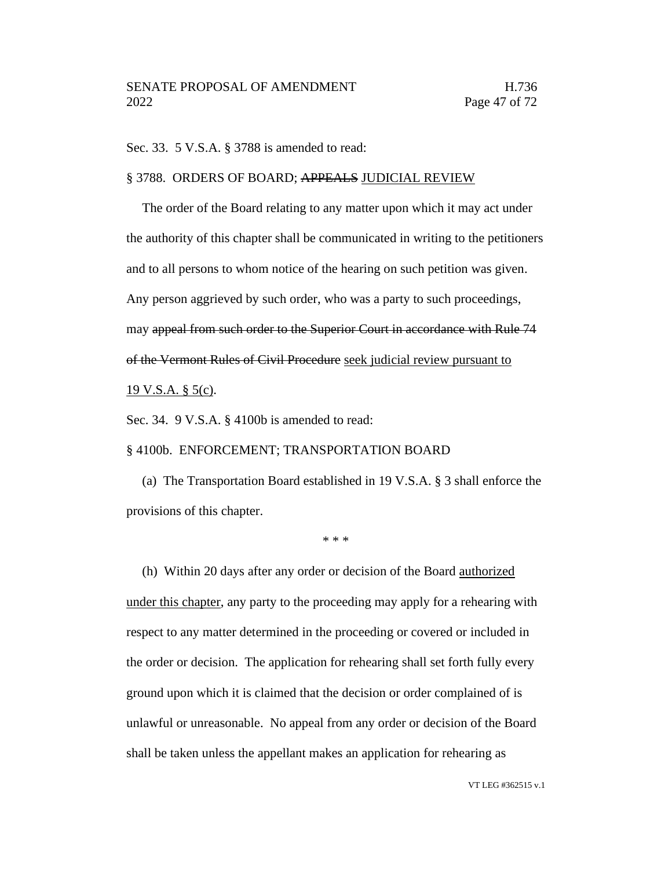Sec. 33. 5 V.S.A. § 3788 is amended to read:

#### § 3788. ORDERS OF BOARD; APPEALS JUDICIAL REVIEW

The order of the Board relating to any matter upon which it may act under the authority of this chapter shall be communicated in writing to the petitioners and to all persons to whom notice of the hearing on such petition was given. Any person aggrieved by such order, who was a party to such proceedings, may appeal from such order to the Superior Court in accordance with Rule 74 of the Vermont Rules of Civil Procedure seek judicial review pursuant to

19 V.S.A. § 5(c).

Sec. 34. 9 V.S.A. § 4100b is amended to read:

## § 4100b. ENFORCEMENT; TRANSPORTATION BOARD

(a) The Transportation Board established in 19 V.S.A. § 3 shall enforce the provisions of this chapter.

\* \* \*

(h) Within 20 days after any order or decision of the Board authorized under this chapter, any party to the proceeding may apply for a rehearing with respect to any matter determined in the proceeding or covered or included in the order or decision. The application for rehearing shall set forth fully every ground upon which it is claimed that the decision or order complained of is unlawful or unreasonable. No appeal from any order or decision of the Board shall be taken unless the appellant makes an application for rehearing as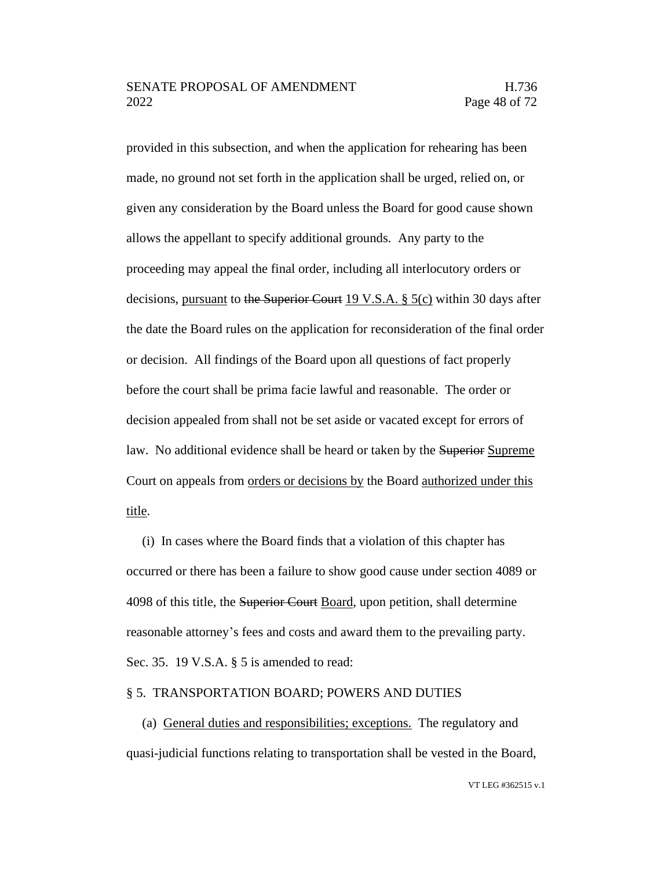provided in this subsection, and when the application for rehearing has been made, no ground not set forth in the application shall be urged, relied on, or given any consideration by the Board unless the Board for good cause shown allows the appellant to specify additional grounds. Any party to the proceeding may appeal the final order, including all interlocutory orders or decisions, pursuant to the Superior Court 19 V.S.A. § 5(c) within 30 days after the date the Board rules on the application for reconsideration of the final order or decision. All findings of the Board upon all questions of fact properly before the court shall be prima facie lawful and reasonable. The order or decision appealed from shall not be set aside or vacated except for errors of law. No additional evidence shall be heard or taken by the Superior Supreme Court on appeals from orders or decisions by the Board authorized under this title.

(i) In cases where the Board finds that a violation of this chapter has occurred or there has been a failure to show good cause under section 4089 or 4098 of this title, the Superior Court Board, upon petition, shall determine reasonable attorney's fees and costs and award them to the prevailing party. Sec. 35. 19 V.S.A. § 5 is amended to read:

#### § 5. TRANSPORTATION BOARD; POWERS AND DUTIES

(a) General duties and responsibilities; exceptions. The regulatory and quasi-judicial functions relating to transportation shall be vested in the Board,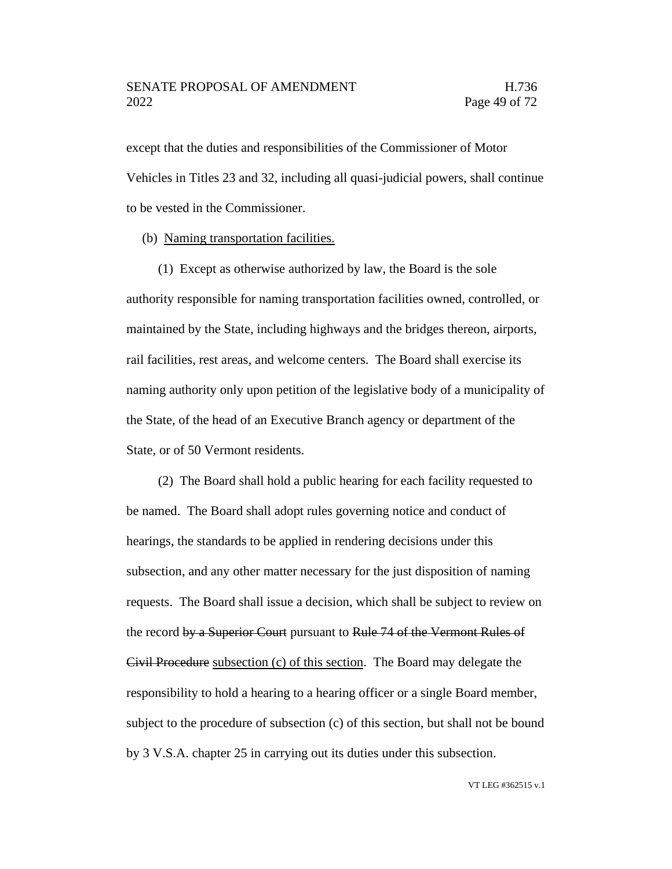except that the duties and responsibilities of the Commissioner of Motor Vehicles in Titles 23 and 32, including all quasi-judicial powers, shall continue to be vested in the Commissioner.

(b) Naming transportation facilities.

(1) Except as otherwise authorized by law, the Board is the sole authority responsible for naming transportation facilities owned, controlled, or maintained by the State, including highways and the bridges thereon, airports, rail facilities, rest areas, and welcome centers. The Board shall exercise its naming authority only upon petition of the legislative body of a municipality of the State, of the head of an Executive Branch agency or department of the State, or of 50 Vermont residents.

(2) The Board shall hold a public hearing for each facility requested to be named. The Board shall adopt rules governing notice and conduct of hearings, the standards to be applied in rendering decisions under this subsection, and any other matter necessary for the just disposition of naming requests. The Board shall issue a decision, which shall be subject to review on the record by a Superior Court pursuant to Rule 74 of the Vermont Rules of Civil Procedure subsection (c) of this section. The Board may delegate the responsibility to hold a hearing to a hearing officer or a single Board member, subject to the procedure of subsection (c) of this section, but shall not be bound by 3 V.S.A. chapter 25 in carrying out its duties under this subsection.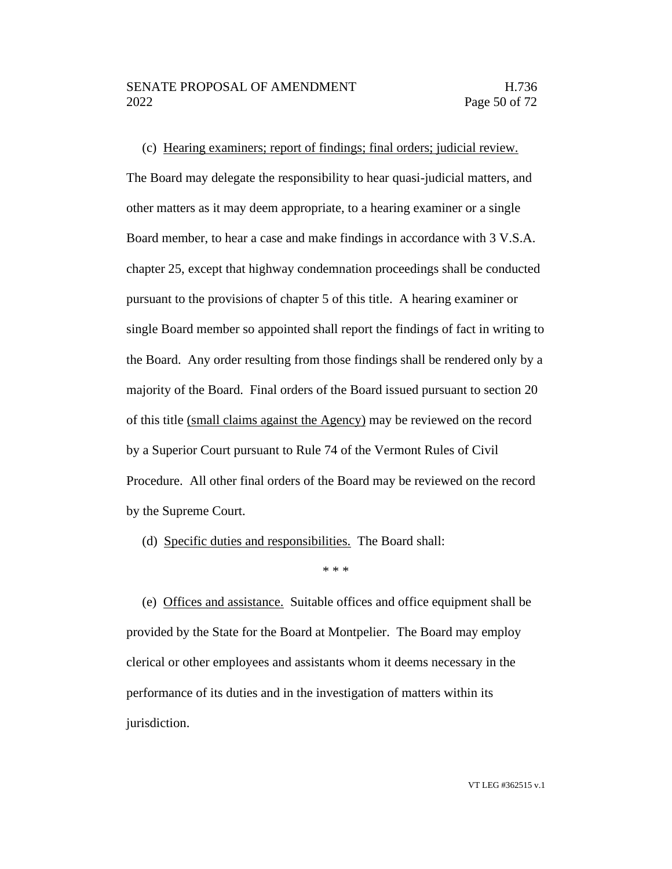(c) Hearing examiners; report of findings; final orders; judicial review.

The Board may delegate the responsibility to hear quasi-judicial matters, and other matters as it may deem appropriate, to a hearing examiner or a single Board member, to hear a case and make findings in accordance with 3 V.S.A. chapter 25, except that highway condemnation proceedings shall be conducted pursuant to the provisions of chapter 5 of this title. A hearing examiner or single Board member so appointed shall report the findings of fact in writing to the Board. Any order resulting from those findings shall be rendered only by a majority of the Board. Final orders of the Board issued pursuant to section 20 of this title (small claims against the Agency) may be reviewed on the record by a Superior Court pursuant to Rule 74 of the Vermont Rules of Civil Procedure. All other final orders of the Board may be reviewed on the record by the Supreme Court.

(d) Specific duties and responsibilities. The Board shall:

\* \* \*

(e) Offices and assistance. Suitable offices and office equipment shall be provided by the State for the Board at Montpelier. The Board may employ clerical or other employees and assistants whom it deems necessary in the performance of its duties and in the investigation of matters within its jurisdiction.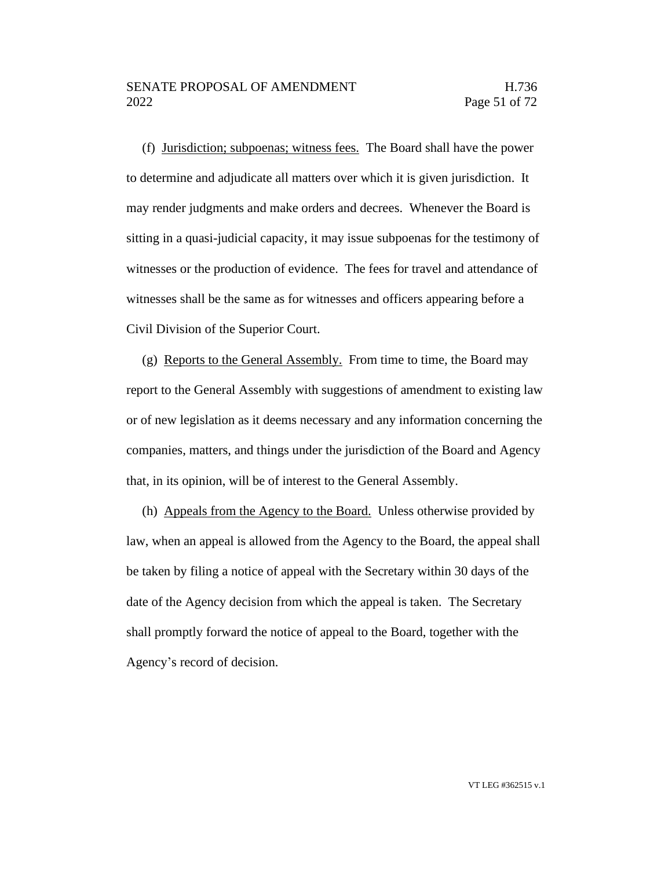## SENATE PROPOSAL OF AMENDMENT FRAMENTIES AND H.736 2022 Page 51 of 72

(f) Jurisdiction; subpoenas; witness fees. The Board shall have the power to determine and adjudicate all matters over which it is given jurisdiction. It may render judgments and make orders and decrees. Whenever the Board is sitting in a quasi-judicial capacity, it may issue subpoenas for the testimony of witnesses or the production of evidence. The fees for travel and attendance of witnesses shall be the same as for witnesses and officers appearing before a Civil Division of the Superior Court.

(g) Reports to the General Assembly. From time to time, the Board may report to the General Assembly with suggestions of amendment to existing law or of new legislation as it deems necessary and any information concerning the companies, matters, and things under the jurisdiction of the Board and Agency that, in its opinion, will be of interest to the General Assembly.

(h) Appeals from the Agency to the Board. Unless otherwise provided by law, when an appeal is allowed from the Agency to the Board, the appeal shall be taken by filing a notice of appeal with the Secretary within 30 days of the date of the Agency decision from which the appeal is taken. The Secretary shall promptly forward the notice of appeal to the Board, together with the Agency's record of decision.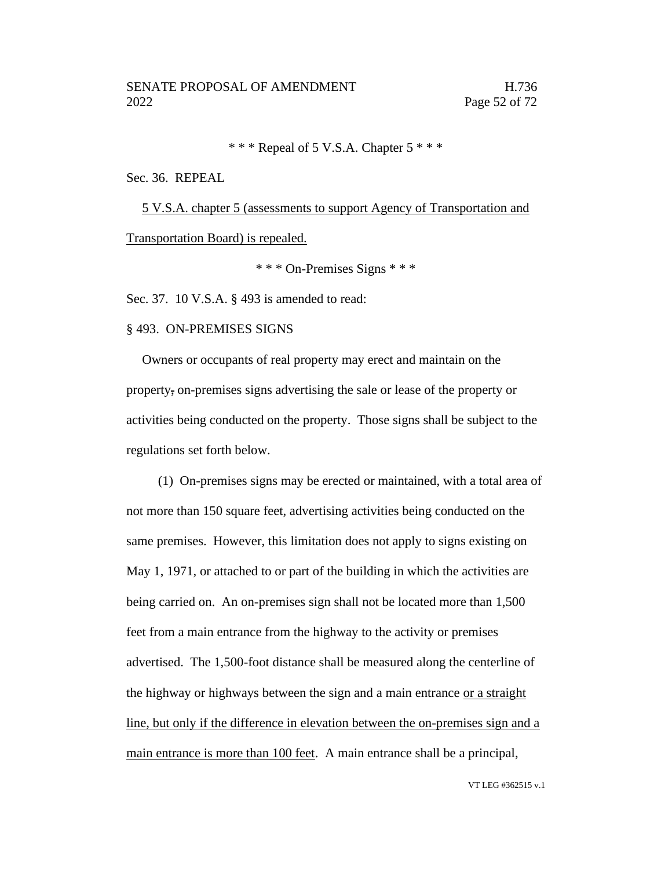# \* \* \* Repeal of 5 V.S.A. Chapter 5 \* \* \*

#### Sec. 36. REPEAL

5 V.S.A. chapter 5 (assessments to support Agency of Transportation and Transportation Board) is repealed.

\* \* \* On-Premises Signs \* \* \*

Sec. 37. 10 V.S.A. § 493 is amended to read:

## § 493. ON-PREMISES SIGNS

Owners or occupants of real property may erect and maintain on the property, on-premises signs advertising the sale or lease of the property or activities being conducted on the property. Those signs shall be subject to the regulations set forth below.

(1) On-premises signs may be erected or maintained, with a total area of not more than 150 square feet, advertising activities being conducted on the same premises. However, this limitation does not apply to signs existing on May 1, 1971, or attached to or part of the building in which the activities are being carried on. An on-premises sign shall not be located more than 1,500 feet from a main entrance from the highway to the activity or premises advertised. The 1,500-foot distance shall be measured along the centerline of the highway or highways between the sign and a main entrance or a straight line, but only if the difference in elevation between the on-premises sign and a main entrance is more than 100 feet. A main entrance shall be a principal,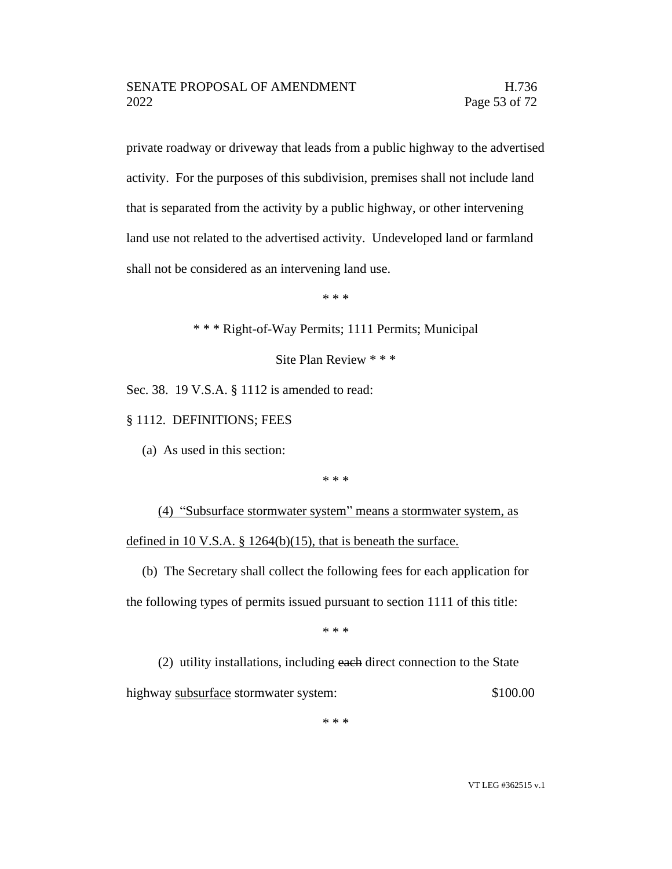private roadway or driveway that leads from a public highway to the advertised activity. For the purposes of this subdivision, premises shall not include land that is separated from the activity by a public highway, or other intervening land use not related to the advertised activity. Undeveloped land or farmland shall not be considered as an intervening land use.

\* \* \*

\* \* \* Right-of-Way Permits; 1111 Permits; Municipal

Site Plan Review \* \* \*

Sec. 38. 19 V.S.A. § 1112 is amended to read:

§ 1112. DEFINITIONS; FEES

(a) As used in this section:

\* \* \*

(4) "Subsurface stormwater system" means a stormwater system, as defined in 10 V.S.A. § 1264(b)(15), that is beneath the surface.

(b) The Secretary shall collect the following fees for each application for the following types of permits issued pursuant to section 1111 of this title:

\* \* \*

(2) utility installations, including each direct connection to the State highway subsurface stormwater system: \$100.00

\* \* \*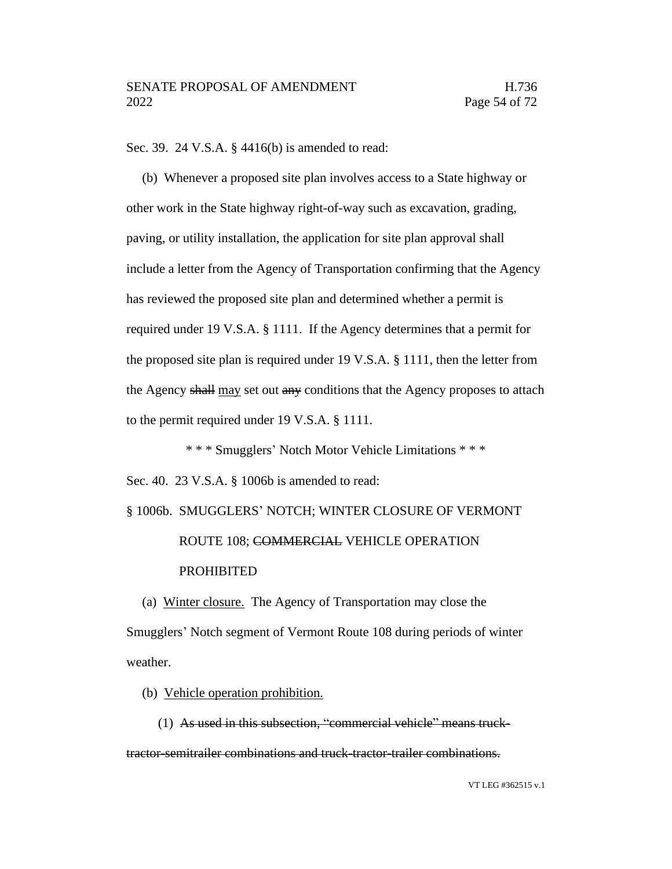Sec. 39. 24 V.S.A. § 4416(b) is amended to read:

(b) Whenever a proposed site plan involves access to a State highway or other work in the State highway right-of-way such as excavation, grading, paving, or utility installation, the application for site plan approval shall include a letter from the Agency of Transportation confirming that the Agency has reviewed the proposed site plan and determined whether a permit is required under 19 V.S.A. § 1111. If the Agency determines that a permit for the proposed site plan is required under 19 V.S.A. § 1111, then the letter from the Agency shall may set out any conditions that the Agency proposes to attach to the permit required under 19 V.S.A. § 1111.

\* \* \* Smugglers' Notch Motor Vehicle Limitations \* \* \* Sec. 40. 23 V.S.A. § 1006b is amended to read:

# § 1006b. SMUGGLERS' NOTCH; WINTER CLOSURE OF VERMONT

# ROUTE 108; COMMERCIAL VEHICLE OPERATION PROHIBITED

(a) Winter closure. The Agency of Transportation may close the Smugglers' Notch segment of Vermont Route 108 during periods of winter weather.

(b) Vehicle operation prohibition.

(1) As used in this subsection, "commercial vehicle" means trucktractor-semitrailer combinations and truck-tractor-trailer combinations.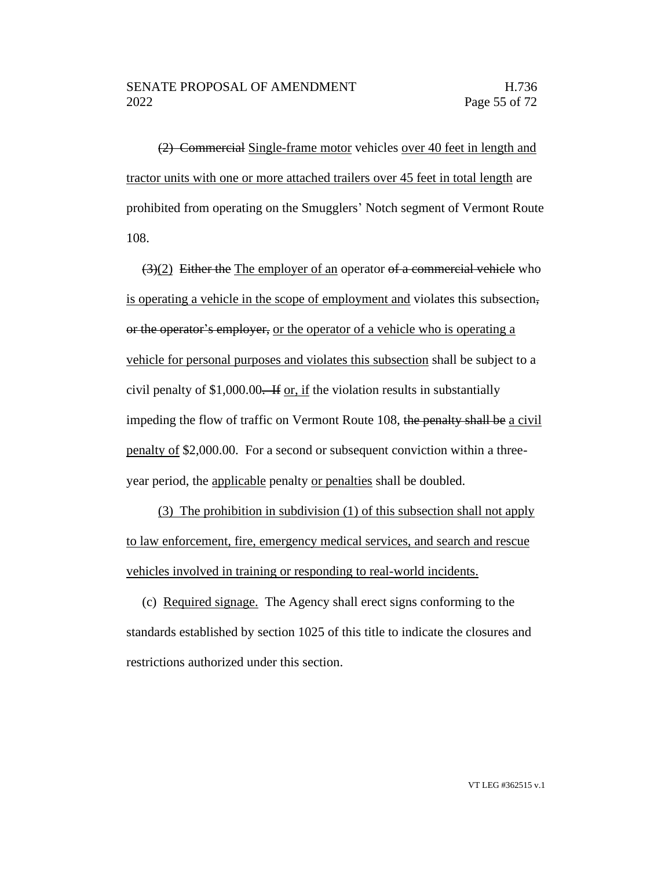(2) Commercial Single-frame motor vehicles over 40 feet in length and tractor units with one or more attached trailers over 45 feet in total length are prohibited from operating on the Smugglers' Notch segment of Vermont Route 108.

 $(3)(2)$  Either the The employer of an operator of a commercial vehicle who is operating a vehicle in the scope of employment and violates this subsection, or the operator's employer, or the operator of a vehicle who is operating a vehicle for personal purposes and violates this subsection shall be subject to a civil penalty of  $$1,000.00$ . If or, if the violation results in substantially impeding the flow of traffic on Vermont Route 108, the penalty shall be a civil penalty of \$2,000.00. For a second or subsequent conviction within a threeyear period, the applicable penalty or penalties shall be doubled.

(3) The prohibition in subdivision (1) of this subsection shall not apply to law enforcement, fire, emergency medical services, and search and rescue vehicles involved in training or responding to real-world incidents.

(c) Required signage. The Agency shall erect signs conforming to the standards established by section 1025 of this title to indicate the closures and restrictions authorized under this section.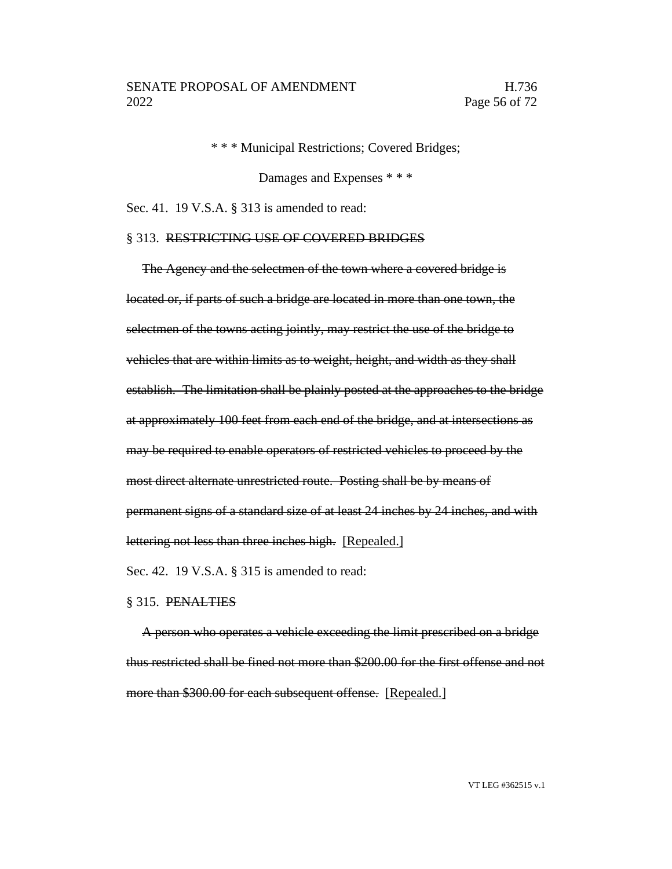\* \* \* Municipal Restrictions; Covered Bridges;

Damages and Expenses \* \* \*

Sec. 41. 19 V.S.A. § 313 is amended to read:

#### § 313. RESTRICTING USE OF COVERED BRIDGES

The Agency and the selectmen of the town where a covered bridge is located or, if parts of such a bridge are located in more than one town, the selectmen of the towns acting jointly, may restrict the use of the bridge to vehicles that are within limits as to weight, height, and width as they shall establish. The limitation shall be plainly posted at the approaches to the bridge at approximately 100 feet from each end of the bridge, and at intersections as may be required to enable operators of restricted vehicles to proceed by the most direct alternate unrestricted route. Posting shall be by means of permanent signs of a standard size of at least 24 inches by 24 inches, and with lettering not less than three inches high. [Repealed.] Sec. 42. 19 V.S.A. § 315 is amended to read:

## § 315. PENALTIES

A person who operates a vehicle exceeding the limit prescribed on a bridge thus restricted shall be fined not more than \$200.00 for the first offense and not more than \$300.00 for each subsequent offense. [Repealed.]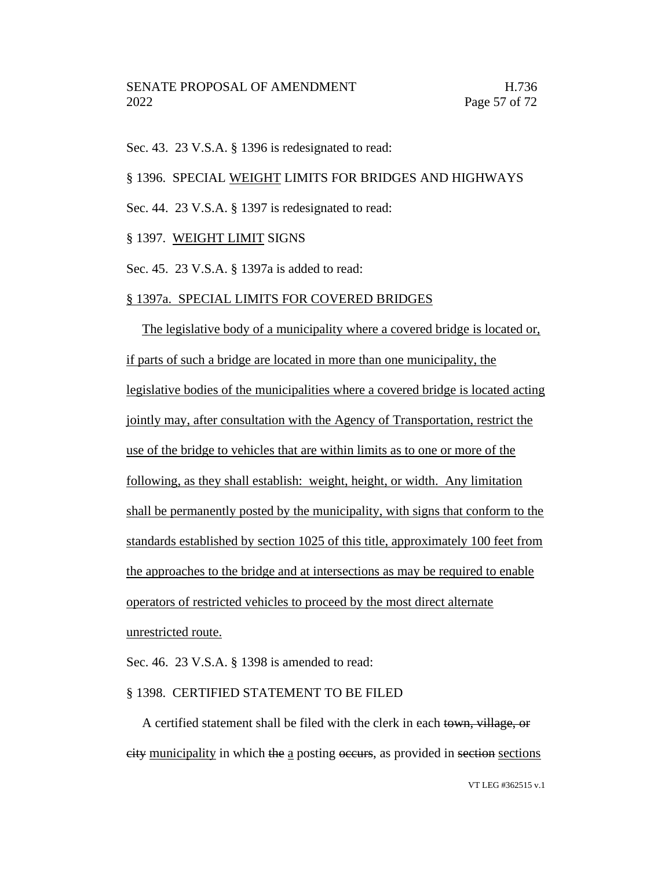Sec. 43. 23 V.S.A. § 1396 is redesignated to read:

§ 1396. SPECIAL WEIGHT LIMITS FOR BRIDGES AND HIGHWAYS

Sec. 44. 23 V.S.A. § 1397 is redesignated to read:

§ 1397. WEIGHT LIMIT SIGNS

Sec. 45. 23 V.S.A. § 1397a is added to read:

#### § 1397a. SPECIAL LIMITS FOR COVERED BRIDGES

The legislative body of a municipality where a covered bridge is located or, if parts of such a bridge are located in more than one municipality, the legislative bodies of the municipalities where a covered bridge is located acting jointly may, after consultation with the Agency of Transportation, restrict the use of the bridge to vehicles that are within limits as to one or more of the following, as they shall establish: weight, height, or width. Any limitation shall be permanently posted by the municipality, with signs that conform to the standards established by section 1025 of this title, approximately 100 feet from the approaches to the bridge and at intersections as may be required to enable operators of restricted vehicles to proceed by the most direct alternate unrestricted route.

Sec. 46. 23 V.S.A. § 1398 is amended to read:

#### § 1398. CERTIFIED STATEMENT TO BE FILED

A certified statement shall be filed with the clerk in each town, village, or city municipality in which the a posting occurs, as provided in section sections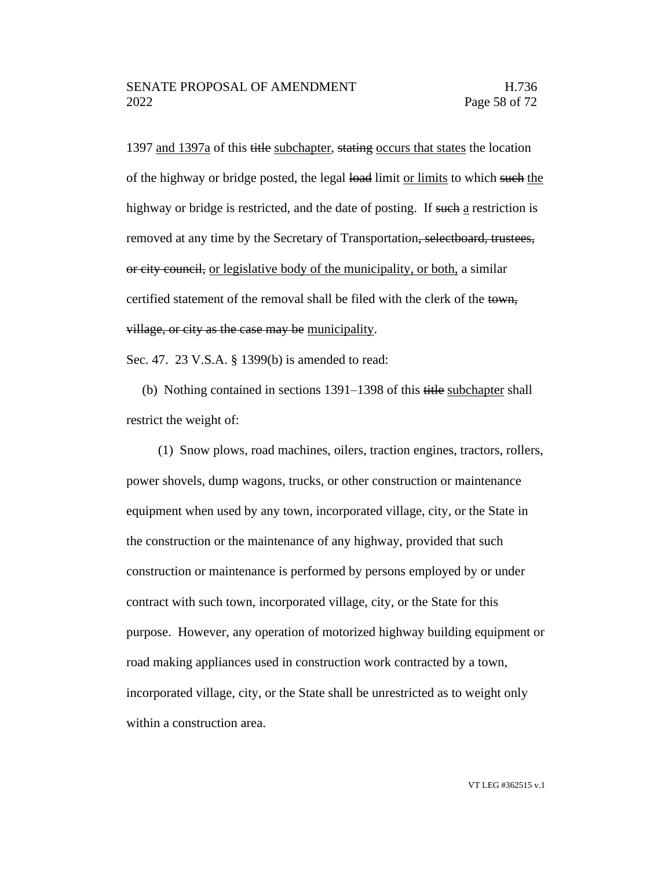1397 and 1397a of this title subchapter, stating occurs that states the location of the highway or bridge posted, the legal load limit or limits to which such the highway or bridge is restricted, and the date of posting. If such a restriction is removed at any time by the Secretary of Transportation, selectboard, trustees, or city council, or legislative body of the municipality, or both, a similar certified statement of the removal shall be filed with the clerk of the town, village, or city as the case may be municipality.

Sec. 47. 23 V.S.A. § 1399(b) is amended to read:

(b) Nothing contained in sections 1391–1398 of this title subchapter shall restrict the weight of:

(1) Snow plows, road machines, oilers, traction engines, tractors, rollers, power shovels, dump wagons, trucks, or other construction or maintenance equipment when used by any town, incorporated village, city, or the State in the construction or the maintenance of any highway, provided that such construction or maintenance is performed by persons employed by or under contract with such town, incorporated village, city, or the State for this purpose. However, any operation of motorized highway building equipment or road making appliances used in construction work contracted by a town, incorporated village, city, or the State shall be unrestricted as to weight only within a construction area.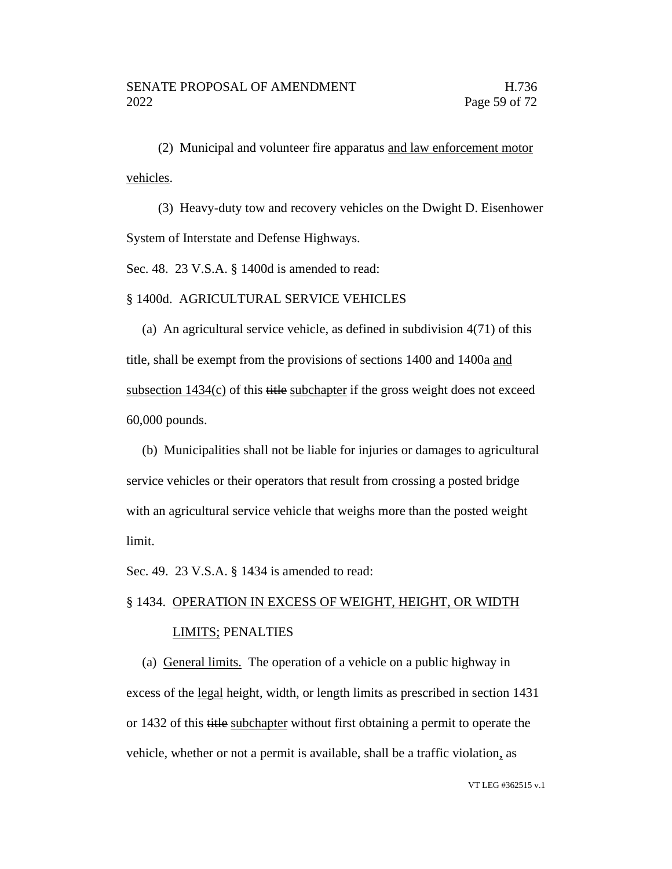(2) Municipal and volunteer fire apparatus and law enforcement motor vehicles.

(3) Heavy-duty tow and recovery vehicles on the Dwight D. Eisenhower System of Interstate and Defense Highways.

Sec. 48. 23 V.S.A. § 1400d is amended to read:

§ 1400d. AGRICULTURAL SERVICE VEHICLES

(a) An agricultural service vehicle, as defined in subdivision 4(71) of this title, shall be exempt from the provisions of sections 1400 and 1400a and subsection  $1434(c)$  of this title subchapter if the gross weight does not exceed 60,000 pounds.

(b) Municipalities shall not be liable for injuries or damages to agricultural service vehicles or their operators that result from crossing a posted bridge with an agricultural service vehicle that weighs more than the posted weight limit.

Sec. 49. 23 V.S.A. § 1434 is amended to read:

# § 1434. OPERATION IN EXCESS OF WEIGHT, HEIGHT, OR WIDTH LIMITS; PENALTIES

(a) General limits. The operation of a vehicle on a public highway in excess of the legal height, width, or length limits as prescribed in section 1431 or 1432 of this title subchapter without first obtaining a permit to operate the vehicle, whether or not a permit is available, shall be a traffic violation, as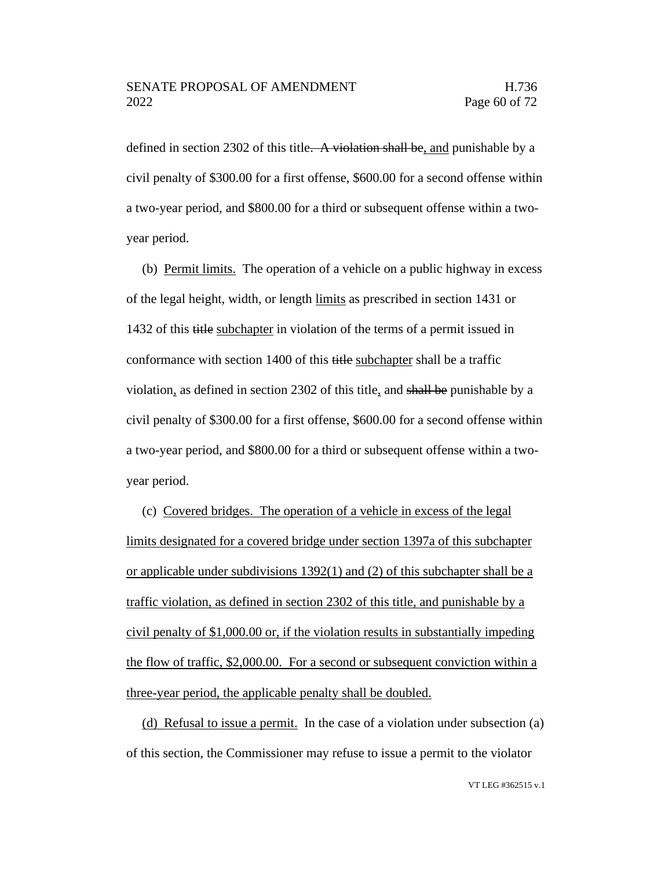defined in section 2302 of this title. A violation shall be, and punishable by a civil penalty of \$300.00 for a first offense, \$600.00 for a second offense within a two-year period, and \$800.00 for a third or subsequent offense within a twoyear period.

(b) Permit limits. The operation of a vehicle on a public highway in excess of the legal height, width, or length limits as prescribed in section 1431 or 1432 of this title subchapter in violation of the terms of a permit issued in conformance with section 1400 of this title subchapter shall be a traffic violation, as defined in section 2302 of this title, and shall be punishable by a civil penalty of \$300.00 for a first offense, \$600.00 for a second offense within a two-year period, and \$800.00 for a third or subsequent offense within a twoyear period.

(c) Covered bridges. The operation of a vehicle in excess of the legal limits designated for a covered bridge under section 1397a of this subchapter or applicable under subdivisions 1392(1) and (2) of this subchapter shall be a traffic violation, as defined in section 2302 of this title, and punishable by a civil penalty of \$1,000.00 or, if the violation results in substantially impeding the flow of traffic, \$2,000.00. For a second or subsequent conviction within a three-year period, the applicable penalty shall be doubled.

(d) Refusal to issue a permit. In the case of a violation under subsection (a) of this section, the Commissioner may refuse to issue a permit to the violator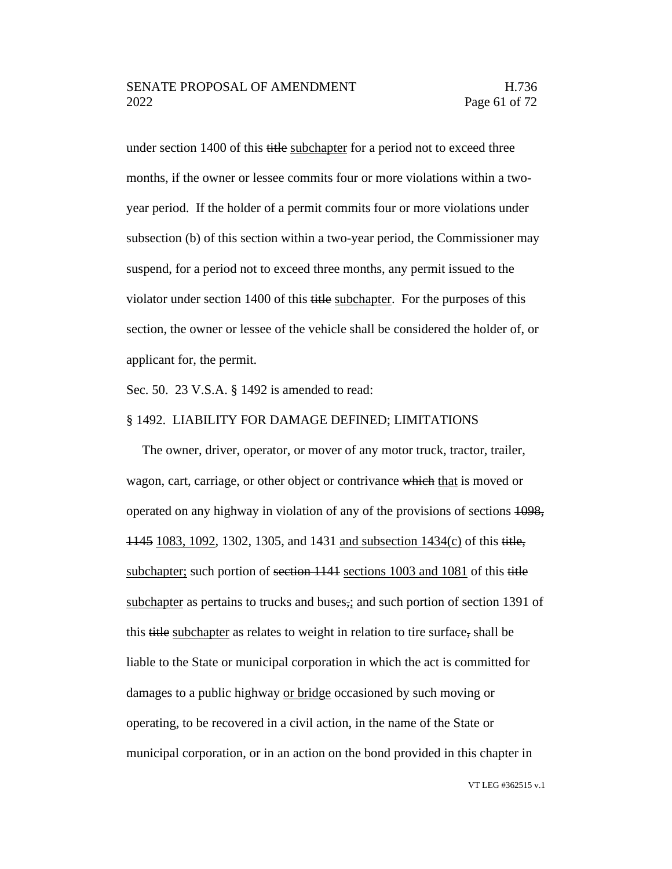under section 1400 of this title subchapter for a period not to exceed three months, if the owner or lessee commits four or more violations within a twoyear period. If the holder of a permit commits four or more violations under subsection (b) of this section within a two-year period, the Commissioner may suspend, for a period not to exceed three months, any permit issued to the violator under section 1400 of this title subchapter. For the purposes of this section, the owner or lessee of the vehicle shall be considered the holder of, or applicant for, the permit.

Sec. 50. 23 V.S.A. § 1492 is amended to read:

#### § 1492. LIABILITY FOR DAMAGE DEFINED; LIMITATIONS

The owner, driver, operator, or mover of any motor truck, tractor, trailer, wagon, cart, carriage, or other object or contrivance which that is moved or operated on any highway in violation of any of the provisions of sections 1098, 1145 1083, 1092, 1302, 1305, and 1431 and subsection 1434(c) of this title, subchapter; such portion of section 1141 sections 1003 and 1081 of this title subchapter as pertains to trucks and buses,; and such portion of section 1391 of this title subchapter as relates to weight in relation to tire surface, shall be liable to the State or municipal corporation in which the act is committed for damages to a public highway or bridge occasioned by such moving or operating, to be recovered in a civil action, in the name of the State or municipal corporation, or in an action on the bond provided in this chapter in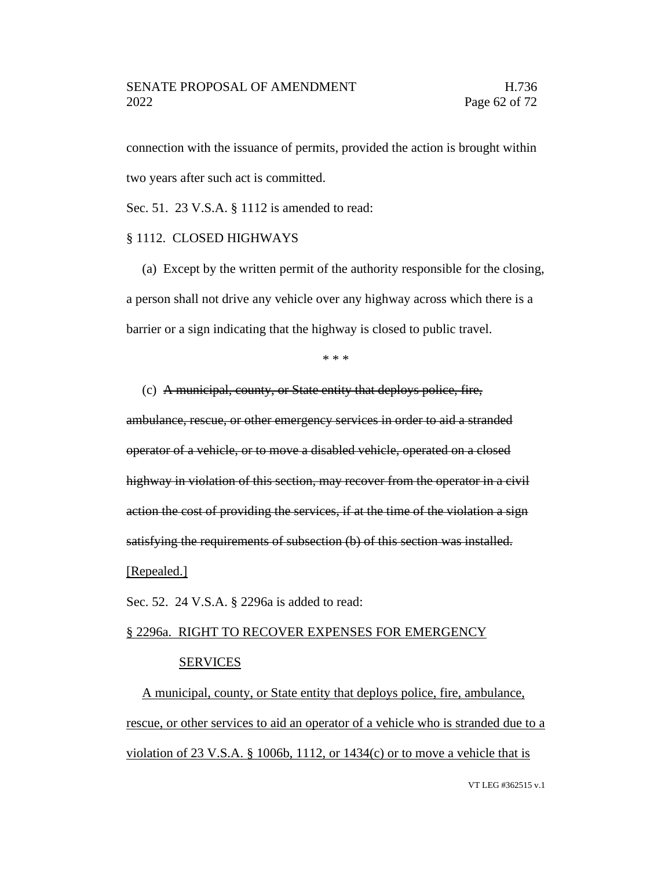## SENATE PROPOSAL OF AMENDMENT FRAMENTIES AND H.736 2022 Page 62 of 72

connection with the issuance of permits, provided the action is brought within two years after such act is committed.

Sec. 51. 23 V.S.A. § 1112 is amended to read:

### § 1112. CLOSED HIGHWAYS

(a) Except by the written permit of the authority responsible for the closing, a person shall not drive any vehicle over any highway across which there is a barrier or a sign indicating that the highway is closed to public travel.

\* \* \*

(c) A municipal, county, or State entity that deploys police, fire, ambulance, rescue, or other emergency services in order to aid a stranded operator of a vehicle, or to move a disabled vehicle, operated on a closed highway in violation of this section, may recover from the operator in a civil action the cost of providing the services, if at the time of the violation a sign satisfying the requirements of subsection (b) of this section was installed.

[Repealed.]

Sec. 52. 24 V.S.A. § 2296a is added to read:

# § 2296a. RIGHT TO RECOVER EXPENSES FOR EMERGENCY SERVICES

A municipal, county, or State entity that deploys police, fire, ambulance, rescue, or other services to aid an operator of a vehicle who is stranded due to a violation of 23 V.S.A. § 1006b, 1112, or  $1434(c)$  or to move a vehicle that is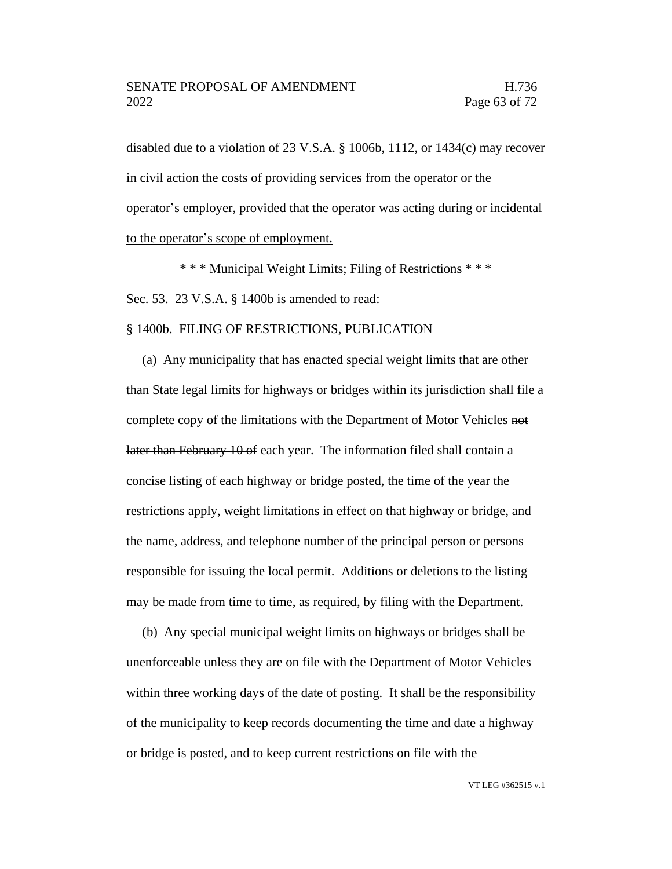disabled due to a violation of 23 V.S.A. § 1006b, 1112, or 1434(c) may recover in civil action the costs of providing services from the operator or the operator's employer, provided that the operator was acting during or incidental to the operator's scope of employment.

\* \* \* Municipal Weight Limits; Filing of Restrictions \* \* \* Sec. 53. 23 V.S.A. § 1400b is amended to read:

#### § 1400b. FILING OF RESTRICTIONS, PUBLICATION

(a) Any municipality that has enacted special weight limits that are other than State legal limits for highways or bridges within its jurisdiction shall file a complete copy of the limitations with the Department of Motor Vehicles not later than February 10 of each year. The information filed shall contain a concise listing of each highway or bridge posted, the time of the year the restrictions apply, weight limitations in effect on that highway or bridge, and the name, address, and telephone number of the principal person or persons responsible for issuing the local permit. Additions or deletions to the listing may be made from time to time, as required, by filing with the Department.

(b) Any special municipal weight limits on highways or bridges shall be unenforceable unless they are on file with the Department of Motor Vehicles within three working days of the date of posting. It shall be the responsibility of the municipality to keep records documenting the time and date a highway or bridge is posted, and to keep current restrictions on file with the

VT LEG #362515 v.1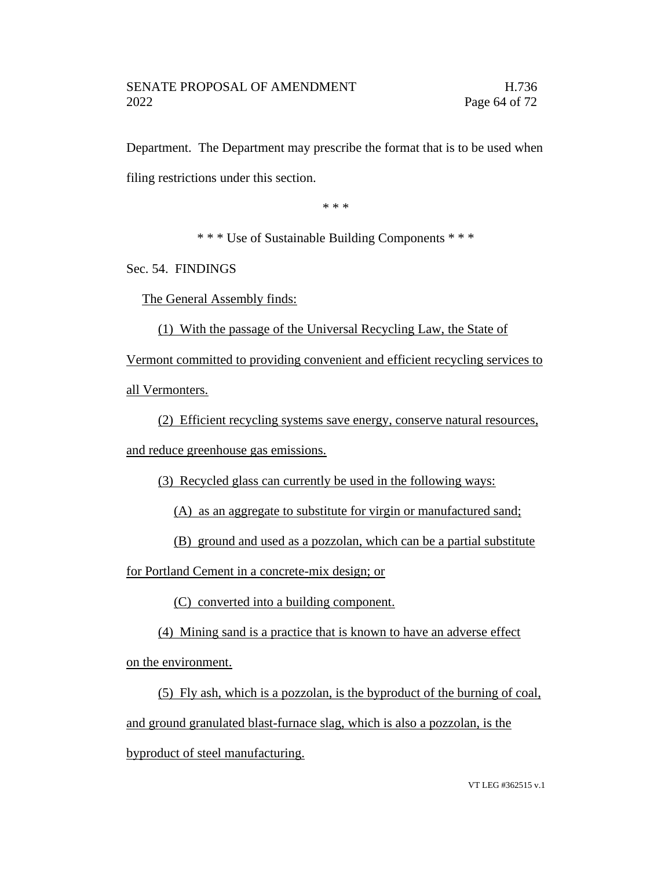Department. The Department may prescribe the format that is to be used when filing restrictions under this section.

\* \* \*

\* \* \* Use of Sustainable Building Components \* \* \*

Sec. 54. FINDINGS

The General Assembly finds:

(1) With the passage of the Universal Recycling Law, the State of

Vermont committed to providing convenient and efficient recycling services to all Vermonters.

(2) Efficient recycling systems save energy, conserve natural resources, and reduce greenhouse gas emissions.

(3) Recycled glass can currently be used in the following ways:

(A) as an aggregate to substitute for virgin or manufactured sand;

(B) ground and used as a pozzolan, which can be a partial substitute

for Portland Cement in a concrete-mix design; or

(C) converted into a building component.

(4) Mining sand is a practice that is known to have an adverse effect

on the environment.

(5) Fly ash, which is a pozzolan, is the byproduct of the burning of coal, and ground granulated blast-furnace slag, which is also a pozzolan, is the byproduct of steel manufacturing.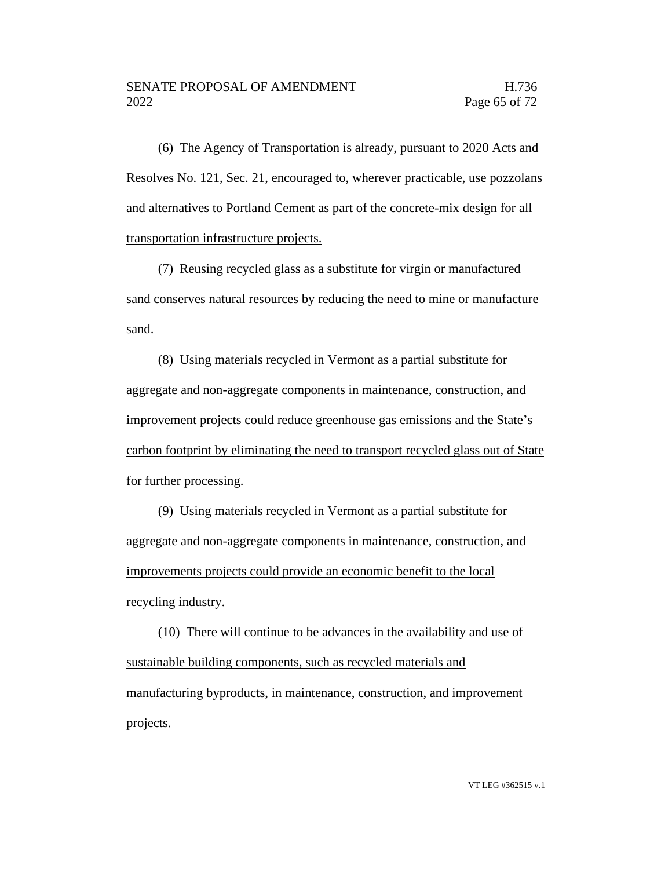(6) The Agency of Transportation is already, pursuant to 2020 Acts and Resolves No. 121, Sec. 21, encouraged to, wherever practicable, use pozzolans and alternatives to Portland Cement as part of the concrete-mix design for all transportation infrastructure projects.

(7) Reusing recycled glass as a substitute for virgin or manufactured sand conserves natural resources by reducing the need to mine or manufacture sand.

(8) Using materials recycled in Vermont as a partial substitute for aggregate and non-aggregate components in maintenance, construction, and improvement projects could reduce greenhouse gas emissions and the State's carbon footprint by eliminating the need to transport recycled glass out of State for further processing.

(9) Using materials recycled in Vermont as a partial substitute for aggregate and non-aggregate components in maintenance, construction, and improvements projects could provide an economic benefit to the local recycling industry.

(10) There will continue to be advances in the availability and use of sustainable building components, such as recycled materials and manufacturing byproducts, in maintenance, construction, and improvement projects.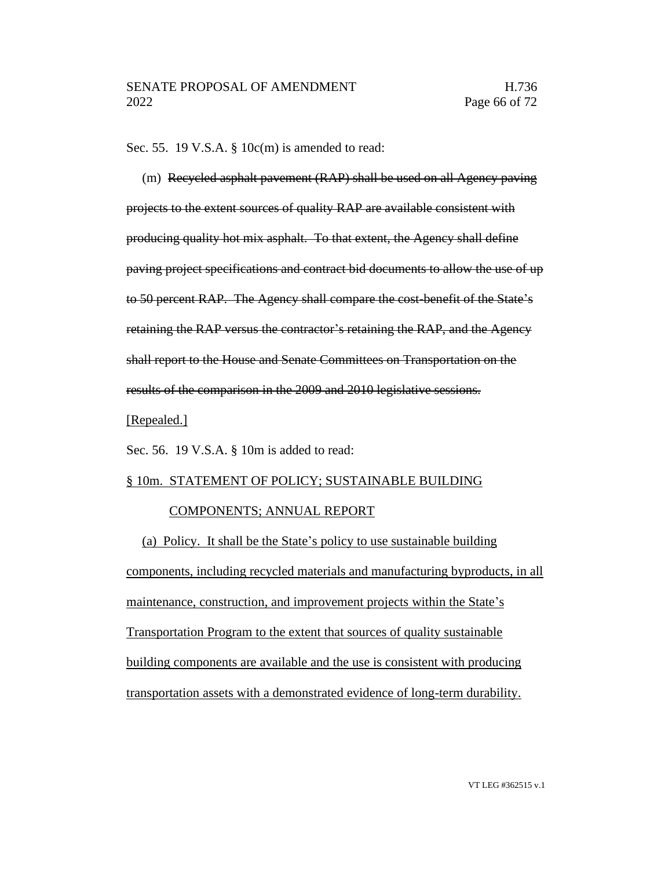Sec. 55. 19 V.S.A. § 10c(m) is amended to read:

(m) Recycled asphalt pavement (RAP) shall be used on all Agency paving projects to the extent sources of quality RAP are available consistent with producing quality hot mix asphalt. To that extent, the Agency shall define paving project specifications and contract bid documents to allow the use of up to 50 percent RAP. The Agency shall compare the cost-benefit of the State's retaining the RAP versus the contractor's retaining the RAP, and the Agency shall report to the House and Senate Committees on Transportation on the results of the comparison in the 2009 and 2010 legislative sessions.

#### [Repealed.]

Sec. 56. 19 V.S.A. § 10m is added to read:

## § 10m. STATEMENT OF POLICY; SUSTAINABLE BUILDING

## COMPONENTS; ANNUAL REPORT

(a) Policy. It shall be the State's policy to use sustainable building components, including recycled materials and manufacturing byproducts, in all maintenance, construction, and improvement projects within the State's Transportation Program to the extent that sources of quality sustainable building components are available and the use is consistent with producing transportation assets with a demonstrated evidence of long-term durability.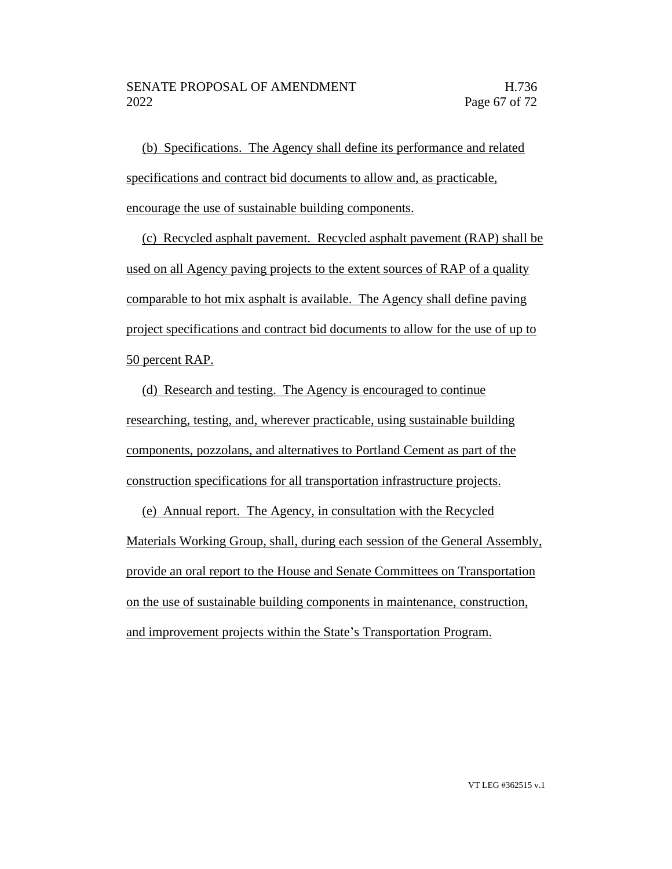(b) Specifications. The Agency shall define its performance and related specifications and contract bid documents to allow and, as practicable, encourage the use of sustainable building components.

(c) Recycled asphalt pavement. Recycled asphalt pavement (RAP) shall be used on all Agency paving projects to the extent sources of RAP of a quality comparable to hot mix asphalt is available. The Agency shall define paving project specifications and contract bid documents to allow for the use of up to 50 percent RAP.

(d) Research and testing. The Agency is encouraged to continue researching, testing, and, wherever practicable, using sustainable building components, pozzolans, and alternatives to Portland Cement as part of the construction specifications for all transportation infrastructure projects.

(e) Annual report. The Agency, in consultation with the Recycled Materials Working Group, shall, during each session of the General Assembly, provide an oral report to the House and Senate Committees on Transportation on the use of sustainable building components in maintenance, construction, and improvement projects within the State's Transportation Program.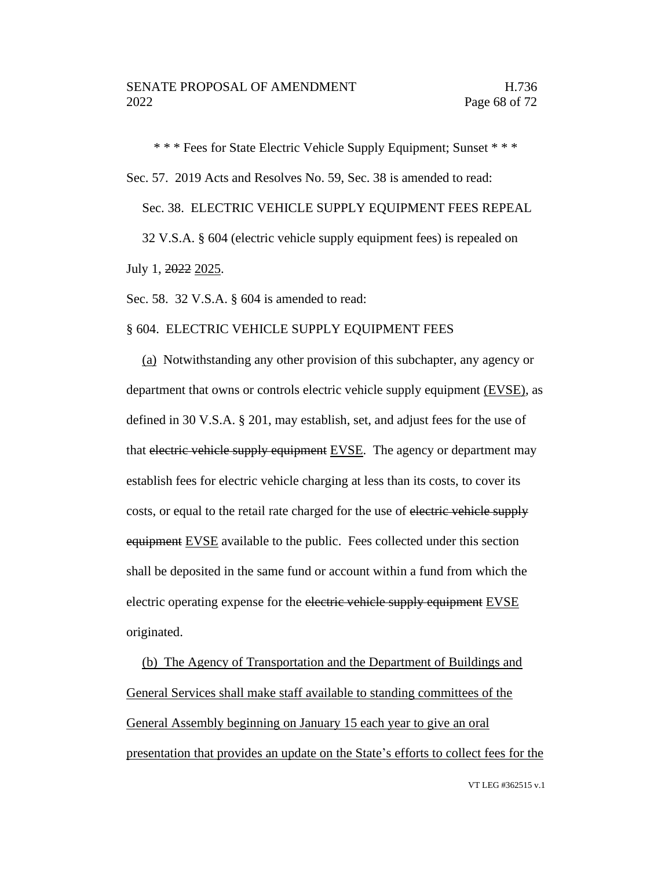\* \* \* Fees for State Electric Vehicle Supply Equipment; Sunset \* \* \* Sec. 57. 2019 Acts and Resolves No. 59, Sec. 38 is amended to read: Sec. 38. ELECTRIC VEHICLE SUPPLY EQUIPMENT FEES REPEAL 32 V.S.A. § 604 (electric vehicle supply equipment fees) is repealed on July 1, 2022 2025.

Sec. 58. 32 V.S.A. § 604 is amended to read:

# § 604. ELECTRIC VEHICLE SUPPLY EQUIPMENT FEES

(a) Notwithstanding any other provision of this subchapter, any agency or department that owns or controls electric vehicle supply equipment (EVSE), as defined in 30 V.S.A. § 201, may establish, set, and adjust fees for the use of that electric vehicle supply equipment  $EVSE$ . The agency or department may establish fees for electric vehicle charging at less than its costs, to cover its costs, or equal to the retail rate charged for the use of electric vehicle supply equipment EVSE available to the public. Fees collected under this section shall be deposited in the same fund or account within a fund from which the electric operating expense for the electric vehicle supply equipment **EVSE** originated.

(b) The Agency of Transportation and the Department of Buildings and General Services shall make staff available to standing committees of the General Assembly beginning on January 15 each year to give an oral presentation that provides an update on the State's efforts to collect fees for the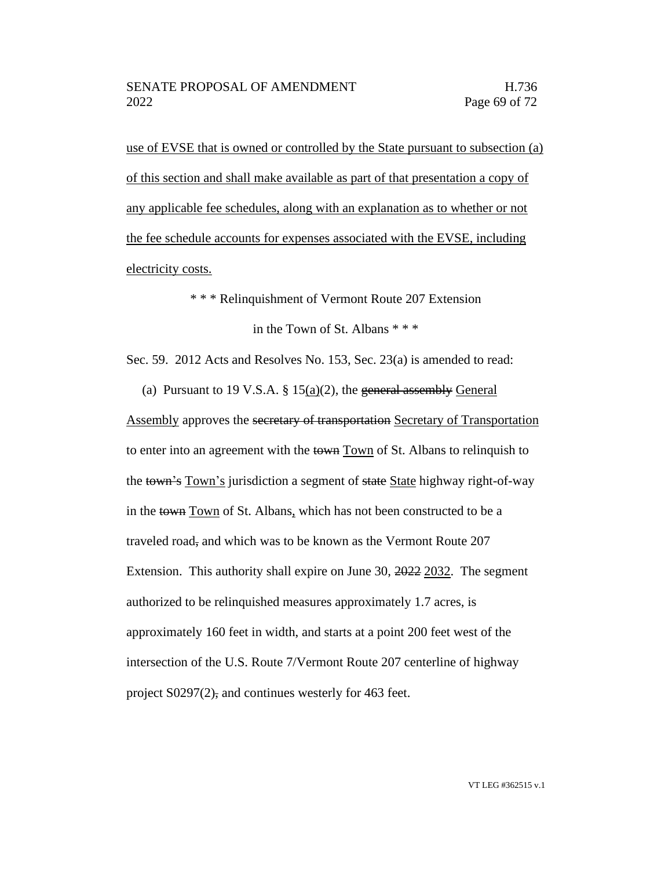use of EVSE that is owned or controlled by the State pursuant to subsection (a) of this section and shall make available as part of that presentation a copy of any applicable fee schedules, along with an explanation as to whether or not the fee schedule accounts for expenses associated with the EVSE, including electricity costs.

\* \* \* Relinquishment of Vermont Route 207 Extension

in the Town of St. Albans \* \* \*

Sec. 59. 2012 Acts and Resolves No. 153, Sec. 23(a) is amended to read:

(a) Pursuant to 19 V.S.A.  $\S$  15(a)(2), the general assembly General Assembly approves the secretary of transportation Secretary of Transportation to enter into an agreement with the town Town of St. Albans to relinquish to the town's Town's jurisdiction a segment of state State highway right-of-way in the town Town of St. Albans, which has not been constructed to be a traveled road, and which was to be known as the Vermont Route 207 Extension. This authority shall expire on June 30, 2022 2032. The segment authorized to be relinquished measures approximately 1.7 acres, is approximately 160 feet in width, and starts at a point 200 feet west of the intersection of the U.S. Route 7/Vermont Route 207 centerline of highway project S0297(2), and continues westerly for 463 feet.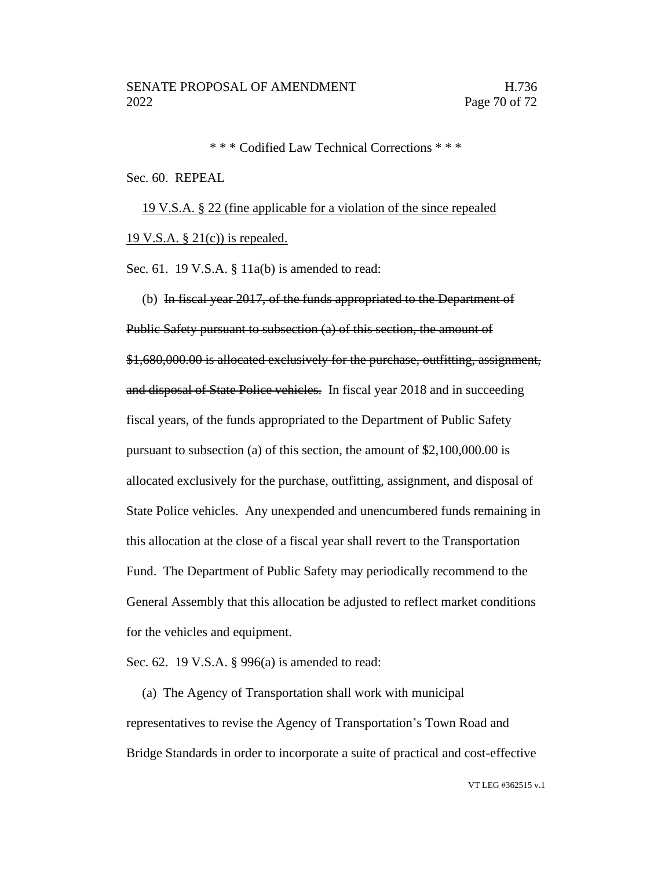\* \* \* Codified Law Technical Corrections \* \* \*

#### Sec. 60. REPEAL

19 V.S.A. § 22 (fine applicable for a violation of the since repealed 19 V.S.A.  $\S 21(c)$  is repealed.

Sec. 61. 19 V.S.A.  $\S$  11a(b) is amended to read:

(b) In fiscal year 2017, of the funds appropriated to the Department of

Public Safety pursuant to subsection (a) of this section, the amount of \$1,680,000.00 is allocated exclusively for the purchase, outfitting, assignment, and disposal of State Police vehicles. In fiscal year 2018 and in succeeding fiscal years, of the funds appropriated to the Department of Public Safety pursuant to subsection (a) of this section, the amount of \$2,100,000.00 is allocated exclusively for the purchase, outfitting, assignment, and disposal of State Police vehicles. Any unexpended and unencumbered funds remaining in this allocation at the close of a fiscal year shall revert to the Transportation Fund. The Department of Public Safety may periodically recommend to the General Assembly that this allocation be adjusted to reflect market conditions for the vehicles and equipment.

Sec. 62. 19 V.S.A. § 996(a) is amended to read:

(a) The Agency of Transportation shall work with municipal representatives to revise the Agency of Transportation's Town Road and Bridge Standards in order to incorporate a suite of practical and cost-effective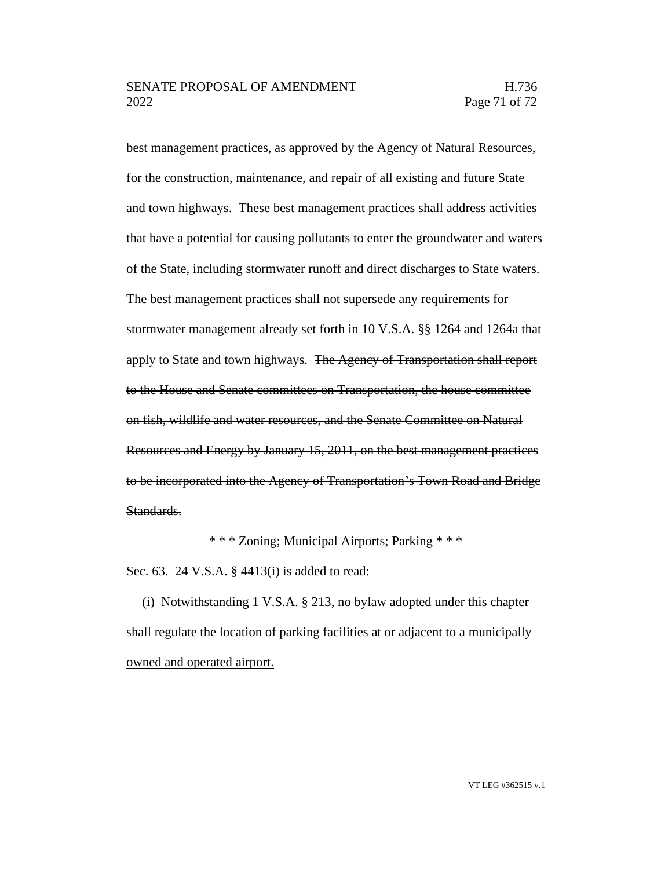best management practices, as approved by the Agency of Natural Resources, for the construction, maintenance, and repair of all existing and future State and town highways. These best management practices shall address activities that have a potential for causing pollutants to enter the groundwater and waters of the State, including stormwater runoff and direct discharges to State waters. The best management practices shall not supersede any requirements for stormwater management already set forth in 10 V.S.A. §§ 1264 and 1264a that apply to State and town highways. The Agency of Transportation shall report to the House and Senate committees on Transportation, the house committee on fish, wildlife and water resources, and the Senate Committee on Natural Resources and Energy by January 15, 2011, on the best management practices to be incorporated into the Agency of Transportation's Town Road and Bridge Standards.

\* \* \* Zoning; Municipal Airports; Parking \* \* \*

Sec. 63. 24 V.S.A. § 4413(i) is added to read:

(i) Notwithstanding 1 V.S.A. § 213, no bylaw adopted under this chapter shall regulate the location of parking facilities at or adjacent to a municipally owned and operated airport.